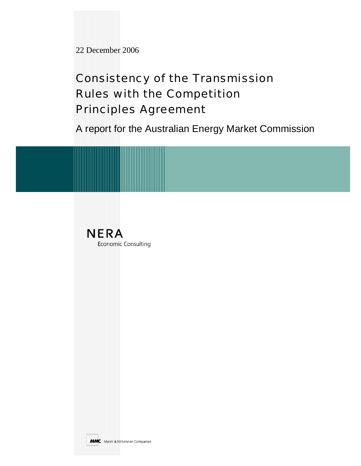22 December 2006

# Consistency of the Transmission Rules with the Competition Principles Agreement

A report for the Australian Energy Market Commission

**NERA** Economic Consulting

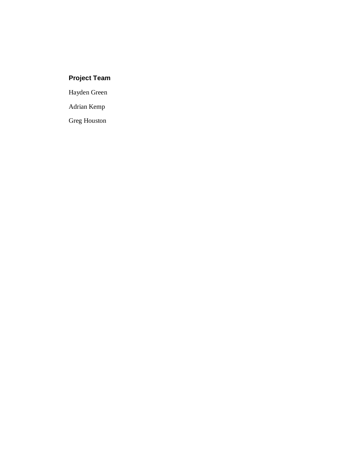# **Project Team**

Hayden Green

Adrian Kemp

Greg Houston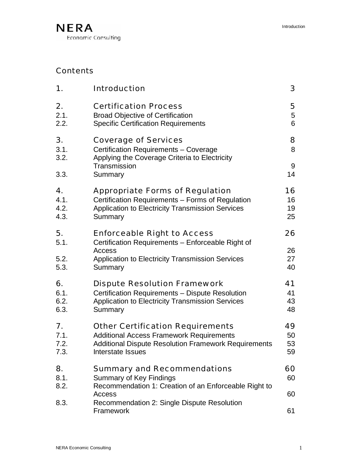# Contents

| 1.                 | <b>Introduction</b>                                                                                                   |                 |
|--------------------|-----------------------------------------------------------------------------------------------------------------------|-----------------|
| 2.                 | <b>Certification Process</b>                                                                                          | 5               |
| 2.1.               | <b>Broad Objective of Certification</b>                                                                               | $5\phantom{.0}$ |
| 2.2.               | <b>Specific Certification Requirements</b>                                                                            | 6               |
| 3.<br>3.1.<br>3.2. | <b>Coverage of Services</b><br>Certification Requirements - Coverage<br>Applying the Coverage Criteria to Electricity | 8<br>8          |
| 3.3.               | Transmission<br>Summary                                                                                               | 9<br>14         |
| 4.                 | <b>Appropriate Forms of Regulation</b>                                                                                |                 |
| 4.1.               | Certification Requirements - Forms of Regulation                                                                      |                 |
| 4.2.               | Application to Electricity Transmission Services                                                                      |                 |
| 4.3.               | Summary                                                                                                               |                 |
| 5.<br>5.1.         | <b>Enforceable Right to Access</b><br>Certification Requirements - Enforceable Right of<br>Access                     | 26<br>26        |
| 5.2.               | <b>Application to Electricity Transmission Services</b>                                                               | 27              |
| 5.3.               | Summary                                                                                                               | 40              |
| 6.                 | <b>Dispute Resolution Framework</b>                                                                                   | 41              |
| 6.1.               | Certification Requirements - Dispute Resolution                                                                       | 41              |
| 6.2.               | <b>Application to Electricity Transmission Services</b>                                                               | 43              |
| 6.3.               | Summary                                                                                                               | 48              |
| 7.                 | <b>Other Certification Requirements</b>                                                                               | 49              |
| 7.1.               | <b>Additional Access Framework Requirements</b>                                                                       | 50              |
| 7.2.               | <b>Additional Dispute Resolution Framework Requirements</b>                                                           | 53              |
| 7.3.               | Interstate Issues                                                                                                     | 59              |
| 8.                 | <b>Summary and Recommendations</b>                                                                                    | 60              |
| 8.1.               | <b>Summary of Key Findings</b>                                                                                        | 60              |
| 8.2.               | Recommendation 1: Creation of an Enforceable Right to<br>Access                                                       | 60              |
| 8.3.               | Recommendation 2: Single Dispute Resolution<br>Framework                                                              | 61              |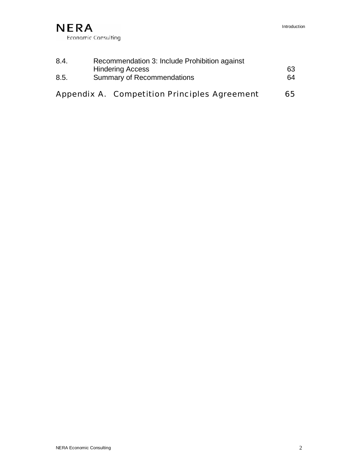

| 8.4. | Recommendation 3: Include Prohibition against |    |  |  |
|------|-----------------------------------------------|----|--|--|
|      | <b>Hindering Access</b>                       | 63 |  |  |
| 8.5. | <b>Summary of Recommendations</b>             |    |  |  |
|      |                                               |    |  |  |
|      | Appendix A. Competition Principles Agreement  | 65 |  |  |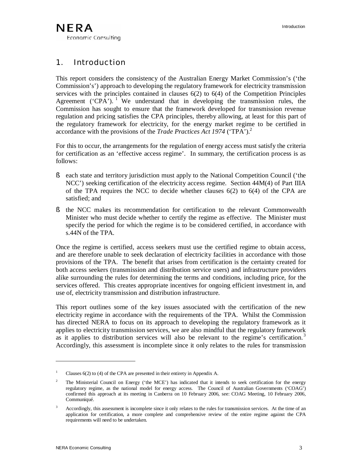# 1. Introduction

This report considers the consistency of the Australian Energy Market Commission's ('the Commission's') approach to developing the regulatory framework for electricity transmission services with the principles contained in clauses 6(2) to 6(4) of the Competition Principles Agreement ( $'CPA'$ ). <sup>1</sup> We understand that in developing the transmission rules, the Commission has sought to ensure that the framework developed for transmission revenue regulation and pricing satisfies the CPA principles, thereby allowing, at least for this part of the regulatory framework for electricity, for the energy market regime to be certified in accordance with the provisions of the *Trade Practices Act 1974* ('TPA').<sup>2</sup>

For this to occur, the arrangements for the regulation of energy access must satisfy the criteria for certification as an 'effective access regime'. In summary, the certification process is as follows:

- § each state and territory jurisdiction must apply to the National Competition Council ('the NCC') seeking certification of the electricity access regime. Section 44M(4) of Part IIIA of the TPA requires the NCC to decide whether clauses  $6(2)$  to  $6(4)$  of the CPA are satisfied; and
- § the NCC makes its recommendation for certification to the relevant Commonwealth Minister who must decide whether to certify the regime as effective. The Minister must specify the period for which the regime is to be considered certified, in accordance with s.44N of the TPA.

Once the regime is certified, access seekers must use the certified regime to obtain access, and are therefore unable to seek declaration of electricity facilities in accordance with those provisions of the TPA. The benefit that arises from certification is the certainty created for both access seekers (transmission and distribution service users) and infrastructure providers alike surrounding the rules for determining the terms and conditions, including price, for the services offered. This creates appropriate incentives for ongoing efficient investment in, and use of, electricity transmission and distribution infrastructure.

This report outlines some of the key issues associated with the certification of the new electricity regime in accordance with the requirements of the TPA. Whilst the Commission has directed NERA to focus on its approach to developing the regulatory framework as it applies to electricity transmission services, we are also mindful that the regulatory framework as it applies to distribution services will also be relevant to the regime's certification.<sup>3</sup> Accordingly, this assessment is incomplete since it only relates to the rules for transmission

<sup>&</sup>lt;sup>1</sup> Clauses  $6(2)$  to (4) of the CPA are presented in their entirety in Appendix A.

<sup>&</sup>lt;sup>2</sup> The Ministerial Council on Energy ('the MCE') has indicated that it intends to seek certification for the energy regulatory regime, as the national model for energy access. The Council of Australian Governments ('COAG') confirmed this approach at its meeting in Canberra on 10 February 2006, see: COAG Meeting, 10 February 2006, Communiqué.

<sup>&</sup>lt;sup>3</sup> Accordingly, this assessment is incomplete since it only relates to the rules for transmission services. At the time of an application for certification, a more complete and comprehensive review of the entire regime against the CPA requirements will need to be undertaken.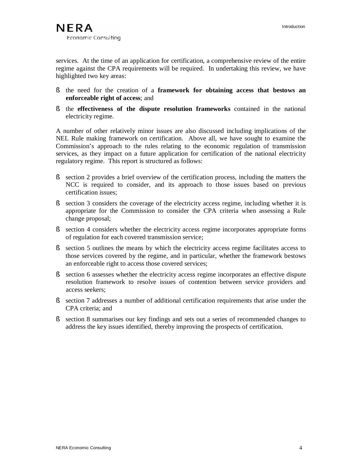services. At the time of an application for certification, a comprehensive review of the entire regime against the CPA requirements will be required. In undertaking this review, we have highlighted two key areas:

- § the need for the creation of a **framework for obtaining access that bestows an enforceable right of access**; and
- § the **effectiveness of the dispute resolution frameworks** contained in the national electricity regime.

A number of other relatively minor issues are also discussed including implications of the NEL Rule making framework on certification. Above all, we have sought to examine the Commission's approach to the rules relating to the economic regulation of transmission services, as they impact on a future application for certification of the national electricity regulatory regime. This report is structured as follows:

- § section 2 provides a brief overview of the certification process, including the matters the NCC is required to consider, and its approach to those issues based on previous certification issues;
- § section 3 considers the coverage of the electricity access regime, including whether it is appropriate for the Commission to consider the CPA criteria when assessing a Rule change proposal;
- § section 4 considers whether the electricity access regime incorporates appropriate forms of regulation for each covered transmission service;
- § section 5 outlines the means by which the electricity access regime facilitates access to those services covered by the regime, and in particular, whether the framework bestows an enforceable right to access those covered services;
- § section 6 assesses whether the electricity access regime incorporates an effective dispute resolution framework to resolve issues of contention between service providers and access seekers;
- § section 7 addresses a number of additional certification requirements that arise under the CPA criteria; and
- § section 8 summarises our key findings and sets out a series of recommended changes to address the key issues identified, thereby improving the prospects of certification.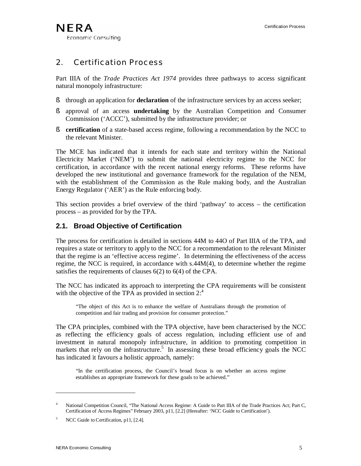# 2. Certification Process

Part IIIA of the *Trade Practices Act 1974* provides three pathways to access significant natural monopoly infrastructure:

- § through an application for **declaration** of the infrastructure services by an access seeker;
- § approval of an access **undertaking** by the Australian Competition and Consumer Commission ('ACCC'), submitted by the infrastructure provider; or
- § **certification** of a state-based access regime, following a recommendation by the NCC to the relevant Minister.

The MCE has indicated that it intends for each state and territory within the National Electricity Market ('NEM') to submit the national electricity regime to the NCC for certification, in accordance with the recent national energy reforms. These reforms have developed the new institutional and governance framework for the regulation of the NEM, with the establishment of the Commission as the Rule making body, and the Australian Energy Regulator ('AER') as the Rule enforcing body.

This section provides a brief overview of the third 'pathway' to access – the certification process – as provided for by the TPA.

### **2.1. Broad Objective of Certification**

The process for certification is detailed in sections 44M to 44O of Part IIIA of the TPA, and requires a state or territory to apply to the NCC for a recommendation to the relevant Minister that the regime is an 'effective access regime'. In determining the effectiveness of the access regime, the NCC is required, in accordance with s.44M(4), to determine whether the regime satisfies the requirements of clauses 6(2) to 6(4) of the CPA.

The NCC has indicated its approach to interpreting the CPA requirements will be consistent with the objective of the TPA as provided in section  $2^4$ .

"The object of this Act is to enhance the welfare of Australians through the promotion of competition and fair trading and provision for consumer protection."

The CPA principles, combined with the TPA objective, have been characterised by the NCC as reflecting the efficiency goals of access regulation, including efficient use of and investment in natural monopoly infrastructure, in addition to promoting competition in markets that rely on the infrastructure.<sup>5</sup> In assessing these broad efficiency goals the NCC has indicated it favours a holistic approach, namely:

"In the certification process, the Council's broad focus is on whether an access regime establishes an appropriate framework for these goals to be achieved."

<sup>&</sup>lt;sup>4</sup> National Competition Council, "The National Access Regime: A Guide to Part IIIA of the Trade Practices Act; Part C, Certification of Access Regimes" February 2003, p11, [2.2] (Hereafter: 'NCC Guide to Certification').

NCC Guide to Certification, p11, [2.4].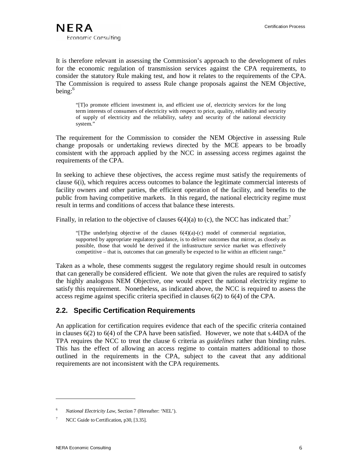It is therefore relevant in assessing the Commission's approach to the development of rules for the economic regulation of transmission services against the CPA requirements, to consider the statutory Rule making test, and how it relates to the requirements of the CPA. The Commission is required to assess Rule change proposals against the NEM Objective, being: 6

"[T]o promote efficient investment in, and efficient use of, electricity services for the long term interests of consumers of electricity with respect to price, quality, reliability and security of supply of electricity and the reliability, safety and security of the national electricity system."

The requirement for the Commission to consider the NEM Objective in assessing Rule change proposals or undertaking reviews directed by the MCE appears to be broadly consistent with the approach applied by the NCC in assessing access regimes against the requirements of the CPA.

In seeking to achieve these objectives, the access regime must satisfy the requirements of clause 6(i), which requires access outcomes to balance the legitimate commercial interests of facility owners and other parties, the efficient operation of the facility, and benefits to the public from having competitive markets. In this regard, the national electricity regime must result in terms and conditions of access that balance these interests.

Finally, in relation to the objective of clauses  $6(4)(a)$  to (c), the NCC has indicated that:<sup>7</sup>

"[T]he underlying objective of the clauses  $6(4)(a)-(c)$  model of commercial negotiation, supported by appropriate regulatory guidance, is to deliver outcomes that mirror, as closely as possible, those that would be derived if the infrastructure service market was effectively competitive – that is, outcomes that can generally be expected to lie within an efficient range."

Taken as a whole, these comments suggest the regulatory regime should result in outcomes that can generally be considered efficient. We note that given the rules are required to satisfy the highly analogous NEM Objective, one would expect the national electricity regime to satisfy this requirement. Nonetheless, as indicated above, the NCC is required to assess the access regime against specific criteria specified in clauses 6(2) to 6(4) of the CPA.

# **2.2. Specific Certification Requirements**

An application for certification requires evidence that each of the specific criteria contained in clauses 6(2) to 6(4) of the CPA have been satisfied. However, we note that s.44DA of the TPA requires the NCC to treat the clause 6 criteria as *guidelines* rather than binding rules. This has the effect of allowing an access regime to contain matters additional to those outlined in the requirements in the CPA, subject to the caveat that any additional requirements are not inconsistent with the CPA requirements.

<sup>6</sup> *National Electricity Law*, Section 7 (Hereafter: 'NEL').

NCC Guide to Certification, p30, [3.35].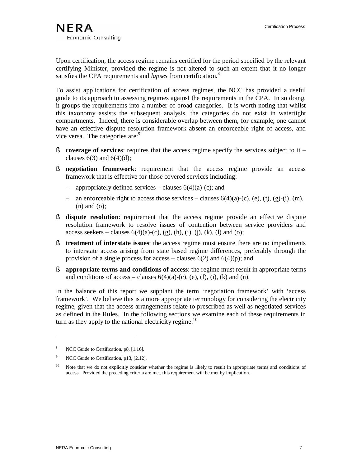Upon certification, the access regime remains certified for the period specified by the relevant certifying Minister, provided the regime is not altered to such an extent that it no longer satisfies the CPA requirements and *lapses* from certification.<sup>8</sup>

To assist applications for certification of access regimes, the NCC has provided a useful guide to its approach to assessing regimes against the requirements in the CPA. In so doing, it groups the requirements into a number of broad categories. It is worth noting that whilst this taxonomy assists the subsequent analysis, the categories do not exist in watertight compartments. Indeed, there is considerable overlap between them, for example, one cannot have an effective dispute resolution framework absent an enforceable right of access, and vice versa. The categories are:<sup>9</sup>

- § **coverage of services**: requires that the access regime specify the services subject to it clauses  $6(3)$  and  $6(4)(d)$ ;
- § **negotiation framework**: requirement that the access regime provide an access framework that is effective for those covered services including:
	- appropriately defined services clauses  $6(4)(a)-(c)$ ; and
	- an enforceable right to access those services clauses  $6(4)(a)-(c)$ , (e), (f), (g)-(i), (m), (n) and (o);
- § **dispute resolution**: requirement that the access regime provide an effective dispute resolution framework to resolve issues of contention between service providers and access seekers – clauses  $6(4)(a)-(c)$ , (g), (h), (i), (i), (k), (l) and (o);
- § **treatment of interstate issues**: the access regime must ensure there are no impediments to interstate access arising from state based regime differences, preferably through the provision of a single process for access – clauses  $6(2)$  and  $6(4)(p)$ ; and
- § **appropriate terms and conditions of access**: the regime must result in appropriate terms and conditions of access – clauses  $6(4)(a)-(c)$ , (e), (f), (i), (k) and (n).

In the balance of this report we supplant the term 'negotiation framework' with 'access framework'. We believe this is a more appropriate terminology for considering the electricity regime, given that the access arrangements relate to prescribed as well as negotiated services as defined in the Rules. In the following sections we examine each of these requirements in turn as they apply to the national electricity regime.<sup>10</sup>

NCC Guide to Certification, p8, [1.16].

<sup>&</sup>lt;sup>9</sup> NCC Guide to Certification, p13, [2.12].

<sup>&</sup>lt;sup>10</sup> Note that we do not explicitly consider whether the regime is likely to result in appropriate terms and conditions of access. Provided the preceding criteria are met, this requirement will be met by implication.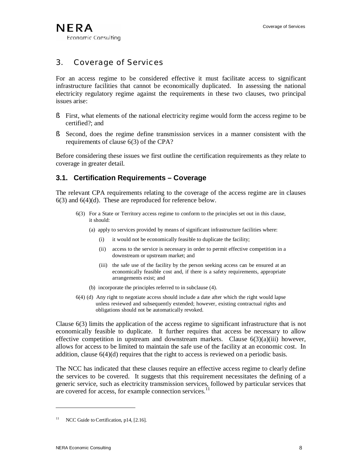# 3. Coverage of Services

For an access regime to be considered effective it must facilitate access to significant infrastructure facilities that cannot be economically duplicated. In assessing the national electricity regulatory regime against the requirements in these two clauses, two principal issues arise:

- § First, what elements of the national electricity regime would form the access regime to be certified?; and
- § Second, does the regime define transmission services in a manner consistent with the requirements of clause 6(3) of the CPA?

Before considering these issues we first outline the certification requirements as they relate to coverage in greater detail.

# **3.1. Certification Requirements – Coverage**

The relevant CPA requirements relating to the coverage of the access regime are in clauses 6(3) and 6(4)(d). These are reproduced for reference below.

- 6(3) For a State or Territory access regime to conform to the principles set out in this clause, it should:
	- (a) apply to services provided by means of significant infrastructure facilities where:
		- (i) it would not be economically feasible to duplicate the facility;
		- (ii) access to the service is necessary in order to permit effective competition in a downstream or upstream market; and
		- (iii) the safe use of the facility by the person seeking access can be ensured at an economically feasible cost and, if there is a safety requirements, appropriate arrangements exist; and
	- (b) incorporate the principles referred to in subclause (4).
- 6(4) (d) Any right to negotiate access should include a date after which the right would lapse unless reviewed and subsequently extended; however, existing contractual rights and obligations should not be automatically revoked.

Clause 6(3) limits the application of the access regime to significant infrastructure that is not economically feasible to duplicate. It further requires that access be necessary to allow effective competition in upstream and downstream markets. Clause  $6(3)(a)(iii)$  however, allows for access to be limited to maintain the safe use of the facility at an economic cost. In addition, clause  $6(4)(d)$  requires that the right to access is reviewed on a periodic basis.

The NCC has indicated that these clauses require an effective access regime to clearly define the services to be covered. It suggests that this requirement necessitates the defining of a generic service, such as electricity transmission services, followed by particular services that are covered for access, for example connection services.<sup>11</sup>

NCC Guide to Certification, p14, [2.16].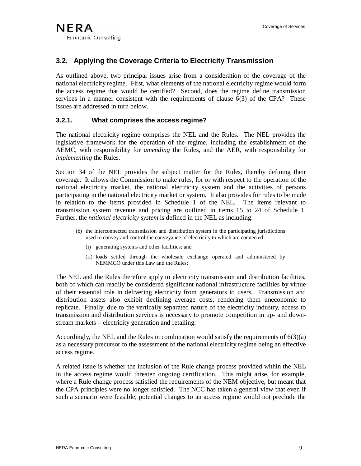# **3.2. Applying the Coverage Criteria to Electricity Transmission**

As outlined above, two principal issues arise from a consideration of the coverage of the national electricity regime. First, what elements of the national electricity regime would form the access regime that would be certified? Second, does the regime define transmission services in a manner consistent with the requirements of clause 6(3) of the CPA? These issues are addressed in turn below.

### **3.2.1. What comprises the access regime?**

The national electricity regime comprises the NEL and the Rules. The NEL provides the legislative framework for the operation of the regime, including the establishment of the AEMC, with responsibility for *amending* the Rules, and the AER, with responsibility for *implementing* the Rules.

Section 34 of the NEL provides the subject matter for the Rules, thereby defining their coverage. It allows the Commission to make rules, for or with respect to the operation of the national electricity market, the national electricity system and the activities of persons participating in the national electricity market or system. It also provides for rules to be made in relation to the items provided in Schedule 1 of the NEL. The items relevant to transmission system revenue and pricing are outlined in items 15 to 24 of Schedule 1. Further, the *national electricity system* is defined in the NEL as including:

- (b) the interconnected transmission and distribution system in the participating jurisdictions used to convey and control the conveyance of electricity to which are connected –
	- (i) generating systems and other facilities; and
	- (ii) loads settled through the wholesale exchange operated and administered by NEMMCO under this Law and the Rules;

The NEL and the Rules therefore apply to electricity transmission and distribution facilities, both of which can readily be considered significant national infrastructure facilities by virtue of their essential role in delivering electricity from generators to users. Transmission and distribution assets also exhibit declining average costs, rendering them uneconomic to replicate. Finally, due to the vertically separated nature of the electricity industry, access to transmission and distribution services is necessary to promote competition in up- and downstream markets – electricity generation and retailing.

Accordingly, the NEL and the Rules in combination would satisfy the requirements of  $6(3)(a)$ as a necessary precursor to the assessment of the national electricity regime being an effective access regime.

A related issue is whether the inclusion of the Rule change process provided within the NEL in the access regime would threaten ongoing certification. This might arise, for example, where a Rule change process satisfied the requirements of the NEM objective, but meant that the CPA principles were no longer satisfied. The NCC has taken a general view that even if such a scenario were feasible, potential changes to an access regime would not preclude the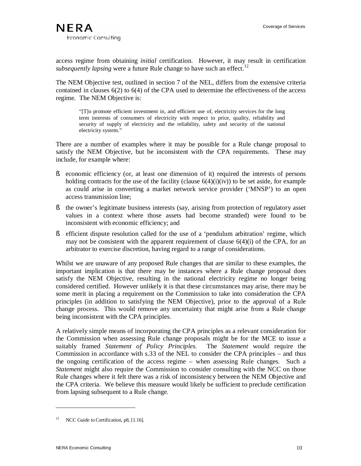access regime from obtaining *initial* certification. However, it may result in certification *subsequently lapsing* were a future Rule change to have such an effect.<sup>12</sup>

The NEM Objective test, outlined in section 7 of the NEL, differs from the extensive criteria contained in clauses 6(2) to 6(4) of the CPA used to determine the effectiveness of the access regime. The NEM Objective is:

"[T]o promote efficient investment in, and efficient use of, electricity services for the long term interests of consumers of electricity with respect to price, quality, reliability and security of supply of electricity and the reliability, safety and security of the national electricity system."

There are a number of examples where it may be possible for a Rule change proposal to satisfy the NEM Objective, but be inconsistent with the CPA requirements. These may include, for example where:

- § economic efficiency (or, at least one dimension of it) required the interests of persons holding contracts for the use of the facility (clause  $6(4)(i)(iv)$ ) to be set aside, for example as could arise in converting a market network service provider ('MNSP') to an open access transmission line;
- § the owner's legitimate business interests (say, arising from protection of regulatory asset values in a context where those assets had become stranded) were found to be inconsistent with economic efficiency; and
- § efficient dispute resolution called for the use of a 'pendulum arbitration' regime, which may not be consistent with the apparent requirement of clause  $6(4)(i)$  of the CPA, for an arbitrator to exercise discretion, having regard to a range of considerations.

Whilst we are unaware of any proposed Rule changes that are similar to these examples, the important implication is that there may be instances where a Rule change proposal does satisfy the NEM Objective, resulting in the national electricity regime no longer being considered certified. However unlikely it is that these circumstances may arise, there may be some merit in placing a requirement on the Commission to take into consideration the CPA principles (in addition to satisfying the NEM Objective), prior to the approval of a Rule change process. This would remove any uncertainty that might arise from a Rule change being inconsistent with the CPA principles.

A relatively simple means of incorporating the CPA principles as a relevant consideration for the Commission when assessing Rule change proposals might be for the MCE to issue a suitably framed *Statement of Policy Principles.* The *Statement* would require the Commission in accordance with s.33 of the NEL to consider the CPA principles – and thus the ongoing certification of the access regime – when assessing Rule changes. Such a *Statement* might also require the Commission to consider consulting with the NCC on those Rule changes where it felt there was a risk of inconsistency between the NEM Objective and the CPA criteria. We believe this measure would likely be sufficient to preclude certification from lapsing subsequent to a Rule change.

 $12$  NCC Guide to Certification, p8, [1.16].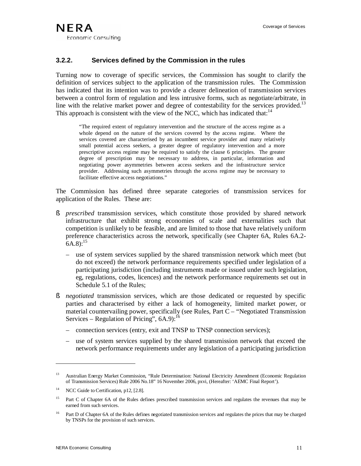### **3.2.2. Services defined by the Commission in the rules**

Turning now to coverage of specific services*,* the Commission has sought to clarify the definition of services subject to the application of the transmission rules. The Commission has indicated that its intention was to provide a clearer delineation of transmission services between a control form of regulation and less intrusive forms, such as negotiate/arbitrate, in line with the relative market power and degree of contestability for the services provided.<sup>13</sup> This approach is consistent with the view of the NCC, which has indicated that: $14$ 

"The required extent of regulatory intervention and the structure of the access regime as a whole depend on the nature of the services covered by the access regime. Where the services covered are characterised by an incumbent service provider and many relatively small potential access seekers, a greater degree of regulatory intervention and a more prescriptive access regime may be required to satisfy the clause 6 principles. The greater degree of prescription may be necessary to address, in particular, information and negotiating power asymmetries between access seekers and the infrastructure service provider. Addressing such asymmetries through the access regime may be necessary to facilitate effective access negotiations."

The Commission has defined three separate categories of transmission services for application of the Rules. These are:

- § *prescribed* transmission services, which constitute those provided by shared network infrastructure that exhibit strong economies of scale and externalities such that competition is unlikely to be feasible, and are limited to those that have relatively uniform preference characteristics across the network, specifically (see Chapter 6A, Rules 6A.2-  $6A.8$ :<sup>15</sup>
	- use of system services supplied by the shared transmission network which meet (but do not exceed) the network performance requirements specified under legislation of a participating jurisdiction (including instruments made or issued under such legislation, eg, regulations, codes, licences) and the network performance requirements set out in Schedule 5.1 of the Rules;
- § *negotiated* transmission services, which are those dedicated or requested by specific parties and characterised by either a lack of homogeneity, limited market power, or material countervailing power, specifically (see Rules, Part C – "Negotiated Transmission Services – Regulation of Pricing",  $6A.9$ :<sup>16</sup>
	- connection services (entry, exit and TNSP to TNSP connection services);
	- use of system services supplied by the shared transmission network that exceed the network performance requirements under any legislation of a participating jurisdiction

<sup>&</sup>lt;sup>13</sup> Australian Energy Market Commission, "Rule Determination: National Electricity Amendment (Economic Regulation of Transmission Services) Rule 2006 No.18" 16 November 2006, pxvi, (Hereafter: 'AEMC Final Report').

<sup>&</sup>lt;sup>14</sup> NCC Guide to Certification, p12, [2.8].

<sup>&</sup>lt;sup>15</sup> Part C of Chapter 6A of the Rules defines prescribed transmission services and regulates the revenues that may be earned from such services.

<sup>&</sup>lt;sup>16</sup> Part D of Chapter 6A of the Rules defines negotiated transmission services and regulates the prices that may be charged by TNSPs for the provision of such services.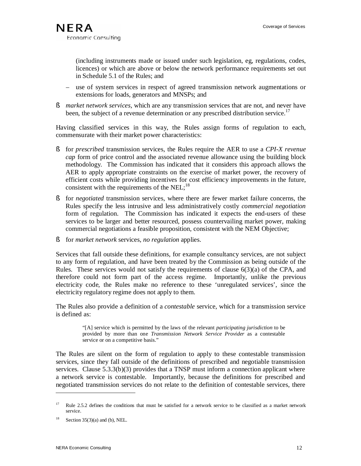(including instruments made or issued under such legislation, eg, regulations, codes, licences) or which are above or below the network performance requirements set out in Schedule 5.1 of the Rules; and

- use of system services in respect of agreed transmission network augmentations or extensions for loads, generators and MNSPs; and
- § *market network services*, which are any transmission services that are not, and never have been, the subject of a revenue determination or any prescribed distribution service.<sup>17</sup>

Having classified services in this way, the Rules assign forms of regulation to each, commensurate with their market power characteristics:

- § for *prescribed* transmission services, the Rules require the AER to use a *CPI-X revenue cap* form of price control and the associated revenue allowance using the building block methodology. The Commission has indicated that it considers this approach allows the AER to apply appropriate constraints on the exercise of market power, the recovery of efficient costs while providing incentives for cost efficiency improvements in the future, consistent with the requirements of the NEL; $^{18}$
- § for *negotiated* transmission services, where there are fewer market failure concerns, the Rules specify the less intrusive and less administratively costly *commercial negotiation* form of regulation. The Commission has indicated it expects the end-users of these services to be larger and better resourced, possess countervailing market power, making commercial negotiations a feasible proposition, consistent with the NEM Objective;
- § for *market network* services, *no regulation* applies.

Services that fall outside these definitions, for example consultancy services, are not subject to any form of regulation, and have been treated by the Commission as being outside of the Rules. These services would not satisfy the requirements of clause  $6(3)(a)$  of the CPA, and therefore could not form part of the access regime. Importantly, unlike the previous electricity code, the Rules make no reference to these 'unregulated services', since the electricity regulatory regime does not apply to them.

The Rules also provide a definition of a *contestable* service, which for a transmission service is defined as:

> "[A] service which is permitted by the laws of the relevant *participating jurisdiction* to be provided by more than one *Transmission Network Service Provider* as a contestable service or on a competitive basis."

The Rules are silent on the form of regulation to apply to these contestable transmission services, since they fall outside of the definitions of prescribed and negotiable transmission services. Clause  $5.3.3(b)(3)$  provides that a TNSP must inform a connection applicant where a network service is contestable. Importantly, because the definitions for prescribed and negotiated transmission services do not relate to the definition of contestable services, there

<sup>17</sup> Rule 2.5.2 defines the conditions that must be satisfied for a network service to be classified as a market network service.

Section  $35(3)(a)$  and (b), NEL.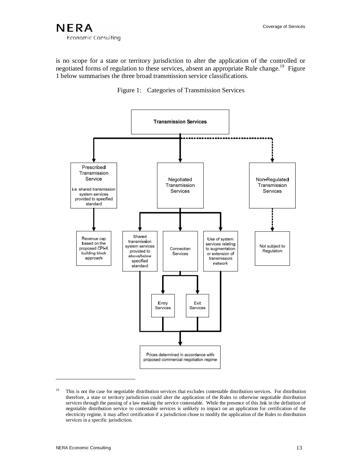is no scope for a state or territory jurisdiction to alter the application of the controlled or negotiated forms of regulation to these services, absent an appropriate Rule change.<sup>19</sup> Figure 1 below summarises the three broad transmission service classifications.





<sup>&</sup>lt;sup>19</sup> This is not the case for negotiable distribution services that excludes contestable distribution services. For distribution therefore, a state or territory jurisdiction could alter the application of the Rules to otherwise negotiable distribution services through the passing of a law making the service contestable. While the presence of this link in the definition of negotiable distribution service to contestable services is unlikely to impact on an application for certification of the electricity regime, it may affect certification if a jurisdiction chose to modify the application of the Rules to distribution services in a specific jurisdiction.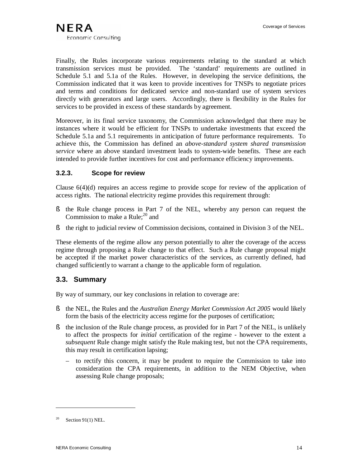Finally, the Rules incorporate various requirements relating to the standard at which transmission services must be provided. The 'standard' requirements are outlined in Schedule 5.1 and 5.1a of the Rules. However, in developing the service definitions, the Commission indicated that it was keen to provide incentives for TNSPs to negotiate prices and terms and conditions for dedicated service and non-standard use of system services directly with generators and large users. Accordingly, there is flexibility in the Rules for services to be provided in excess of these standards by agreement.

Moreover, in its final service taxonomy, the Commission acknowledged that there may be instances where it would be efficient for TNSPs to undertake investments that exceed the Schedule 5.1a and 5.1 requirements in anticipation of future performance requirements. To achieve this, the Commission has defined an *above-standard system shared transmission service* where an above standard investment leads to system-wide benefits. These are each intended to provide further incentives for cost and performance efficiency improvements.

### **3.2.3. Scope for review**

Clause 6(4)(d) requires an access regime to provide scope for review of the application of access rights. The national electricity regime provides this requirement through:

- § the Rule change process in Part 7 of the NEL, whereby any person can request the Commission to make a Rule;<sup>20</sup> and
- § the right to judicial review of Commission decisions, contained in Division 3 of the NEL.

These elements of the regime allow any person potentially to alter the coverage of the access regime through proposing a Rule change to that effect. Such a Rule change proposal might be accepted if the market power characteristics of the services, as currently defined, had changed sufficiently to warrant a change to the applicable form of regulation.

# **3.3. Summary**

By way of summary, our key conclusions in relation to coverage are:

- § the NEL, the Rules and the *Australian Energy Market Commission Act 2005* would likely form the basis of the electricity access regime for the purposes of certification;
- § the inclusion of the Rule change process, as provided for in Part 7 of the NEL, is unlikely to affect the prospects for *initial* certification of the regime - however to the extent a *subsequent* Rule change might satisfy the Rule making test, but not the CPA requirements, this may result in certification lapsing;
	- to rectify this concern, it may be prudent to require the Commission to take into consideration the CPA requirements, in addition to the NEM Objective, when assessing Rule change proposals;

<sup>&</sup>lt;sup>20</sup> Section 91(1) NEL.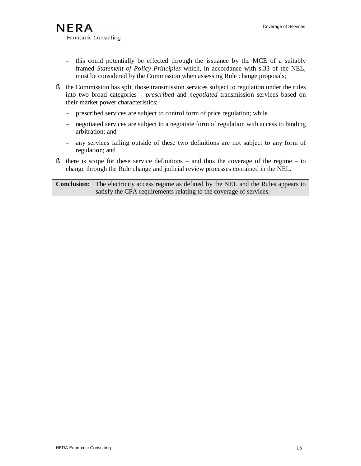- this could potentially be effected through the issuance by the MCE of a suitably framed *Statement of Policy Principles* which, in accordance with s.33 of the NEL, must be considered by the Commission when assessing Rule change proposals;
- § the Commission has split those transmission services subject to regulation under the rules into two broad categories – *prescribed* and *negotiated* transmission services based on their market power characteristics;
	- prescribed services are subject to control form of price regulation; while
	- negotiated services are subject to a negotiate form of regulation with access to binding arbitration; and
	- any services falling outside of these two definitions are not subject to any form of regulation; and
- $\S$  there is scope for these service definitions and thus the coverage of the regime to change through the Rule change and judicial review processes contained in the NEL.

**Conclusion:** The electricity access regime as defined by the NEL and the Rules appears to satisfy the CPA requirements relating to the coverage of services.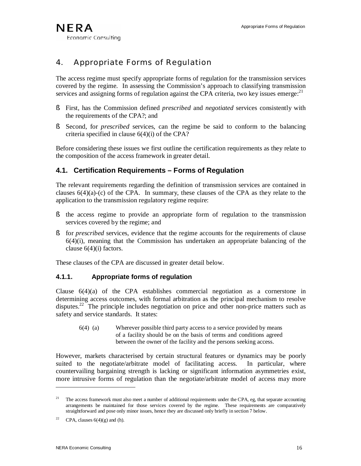# 4. Appropriate Forms of Regulation

The access regime must specify appropriate forms of regulation for the transmission services covered by the regime. In assessing the Commission's approach to classifying transmission services and assigning forms of regulation against the CPA criteria, two key issues emerge:<sup>21</sup>

- § First, has the Commission defined *prescribed* and *negotiated* services consistently with the requirements of the CPA?; and
- § Second, for *prescribed* services, can the regime be said to conform to the balancing criteria specified in clause 6(4)(i) of the CPA?

Before considering these issues we first outline the certification requirements as they relate to the composition of the access framework in greater detail.

# **4.1. Certification Requirements – Forms of Regulation**

The relevant requirements regarding the definition of transmission services are contained in clauses  $6(4)(a)-(c)$  of the CPA. In summary, these clauses of the CPA as they relate to the application to the transmission regulatory regime require:

- § the access regime to provide an appropriate form of regulation to the transmission services covered by the regime; and
- § for *prescribed* services, evidence that the regime accounts for the requirements of clause  $6(4)(i)$ , meaning that the Commission has undertaken an appropriate balancing of the clause  $6(4)(i)$  factors.

These clauses of the CPA are discussed in greater detail below.

### **4.1.1. Appropriate forms of regulation**

Clause 6(4)(a) of the CPA establishes commercial negotiation as a cornerstone in determining access outcomes, with formal arbitration as the principal mechanism to resolve disputes.<sup>22</sup> The principle includes negotiation on price and other non-price matters such as safety and service standards. It states:

6(4) (a) Wherever possible third party access to a service provided by means of a facility should be on the basis of terms and conditions agreed between the owner of the facility and the persons seeking access.

However, markets characterised by certain structural features or dynamics may be poorly suited to the negotiate/arbitrate model of facilitating access. In particular, where countervailing bargaining strength is lacking or significant information asymmetries exist, more intrusive forms of regulation than the negotiate/arbitrate model of access may more

<sup>&</sup>lt;sup>21</sup> The access framework must also meet a number of additional requirements under the CPA, eg, that separate accounting arrangements be maintained for those services covered by the regime. These requirements are comparatively straightforward and pose only minor issues, hence they are discussed only briefly in section 7 below.

<sup>&</sup>lt;sup>22</sup> CPA, clauses  $6(4)(g)$  and (h).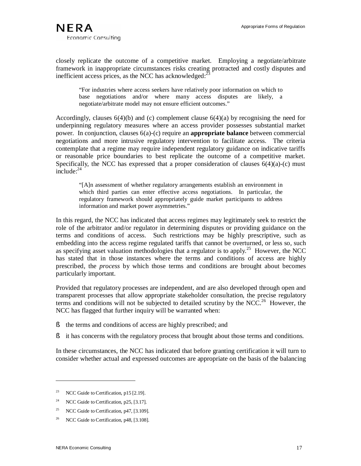closely replicate the outcome of a competitive market. Employing a negotiate/arbitrate framework in inappropriate circumstances risks creating protracted and costly disputes and inefficient access prices, as the NCC has acknowledged: $^{22}$ 

"For industries where access seekers have relatively poor information on which to base negotiations and/or where many access disputes are likely, a negotiate/arbitrate model may not ensure efficient outcomes."

Accordingly, clauses  $6(4)(b)$  and (c) complement clause  $6(4)(a)$  by recognising the need for underpinning regulatory measures where an access provider possesses substantial market power. In conjunction, clauses 6(a)-(c) require an **appropriate balance** between commercial negotiations and more intrusive regulatory intervention to facilitate access. The criteria contemplate that a regime may require independent regulatory guidance on indicative tariffs or reasonable price boundaries to best replicate the outcome of a competitive market. Specifically, the NCC has expressed that a proper consideration of clauses  $6(4)(a)-(c)$  must  $include: <sup>24</sup>$ 

"[A]n assessment of whether regulatory arrangements establish an environment in which third parties can enter effective access negotiations. In particular, the regulatory framework should appropriately guide market participants to address information and market power asymmetries."

In this regard, the NCC has indicated that access regimes may legitimately seek to restrict the role of the arbitrator and/or regulator in determining disputes or providing guidance on the terms and conditions of access. Such restrictions may be highly prescriptive, such as embedding into the access regime regulated tariffs that cannot be overturned, or less so, such as specifying asset valuation methodologies that a regulator is to apply.<sup>25</sup> However, the NCC has stated that in those instances where the terms and conditions of access are highly prescribed, the *process* by which those terms and conditions are brought about becomes particularly important.

Provided that regulatory processes are independent, and are also developed through open and transparent processes that allow appropriate stakeholder consultation, the precise regulatory terms and conditions will not be subjected to detailed scrutiny by the NCC.<sup>26</sup> However, the NCC has flagged that further inquiry will be warranted when:

- § the terms and conditions of access are highly prescribed; and
- § it has concerns with the regulatory process that brought about those terms and conditions.

In these circumstances, the NCC has indicated that before granting certification it will turn to consider whether actual and expressed outcomes are appropriate on the basis of the balancing

<sup>&</sup>lt;sup>23</sup> NCC Guide to Certification,  $p15$  [2.19].

<sup>&</sup>lt;sup>24</sup> NCC Guide to Certification, p25, [3.17].

<sup>&</sup>lt;sup>25</sup> NCC Guide to Certification,  $p47$ , [3.109].

<sup>&</sup>lt;sup>26</sup> NCC Guide to Certification, p48, [3.108].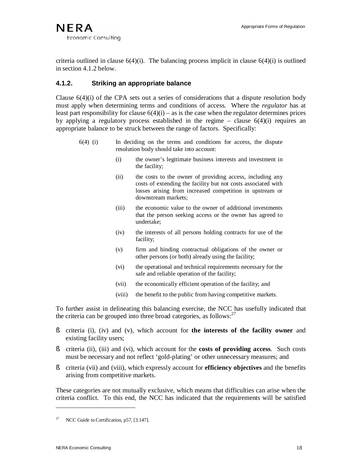criteria outlined in clause  $6(4)(i)$ . The balancing process implicit in clause  $6(4)(i)$  is outlined in section 4.1.2 below.

### **4.1.2. Striking an appropriate balance**

Clause  $6(4)(i)$  of the CPA sets out a series of considerations that a dispute resolution body must apply when determining terms and conditions of access. Where the *regulator* has at least part responsibility for clause  $6(4)(i)$  – as is the case when the regulator determines prices by applying a regulatory process established in the regime – clause  $6(4)(i)$  requires an appropriate balance to be struck between the range of factors. Specifically:

- 6(4) (i) In deciding on the terms and conditions for access, the dispute resolution body should take into account:
	- (i) the owner's legitimate business interests and investment in the facility;
	- (ii) the costs to the owner of providing access, including any costs of extending the facility but not costs associated with losses arising from increased competition in upstream or downstream markets;
	- (iii) the economic value to the owner of additional investments that the person seeking access or the owner has agreed to undertake;
	- (iv) the interests of all persons holding contracts for use of the facility;
	- (v) firm and binding contractual obligations of the owner or other persons (or both) already using the facility;
	- (vi) the operational and technical requirements necessary for the safe and reliable operation of the facility;
	- (vii) the economically efficient operation of the facility; and
	- (viii) the benefit to the public from having competitive markets.

To further assist in delineating this balancing exercise, the NCC has usefully indicated that the criteria can be grouped into three broad categories, as follows:<sup>27</sup>

- § criteria (i), (iv) and (v), which account for **the interests of the facility owner** and existing facility users;
- § criteria (ii), (iii) and (vi), which account for the **costs of providing access**. Such costs must be necessary and not reflect 'gold-plating' or other unnecessary measures; and
- § criteria (vii) and (viii), which expressly account for **efficiency objectives** and the benefits arising from competitive markets.

These categories are not mutually exclusive, which means that difficulties can arise when the criteria conflict. To this end, the NCC has indicated that the requirements will be satisfied

NCC Guide to Certification, p57, [3.147].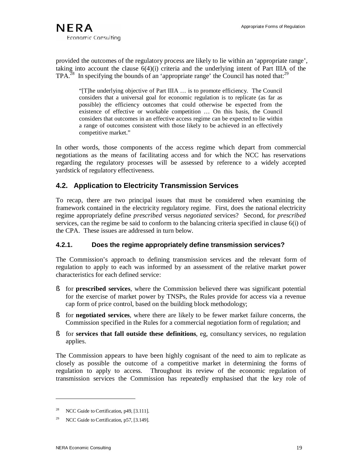provided the outcomes of the regulatory process are likely to lie within an 'appropriate range', taking into account the clause  $6(4)(i)$  criteria and the underlying intent of Part IIIA of the  $TPA<sup>28</sup>$  In specifying the bounds of an 'appropriate range' the Council has noted that:<sup>29</sup>

"[T]he underlying objective of Part IIIA … is to promote efficiency. The Council considers that a universal goal for economic regulation is to replicate (as far as possible) the efficiency outcomes that could otherwise be expected from the existence of effective or workable competition … On this basis, the Council considers that outcomes in an effective access regime can be expected to lie within a range of outcomes consistent with those likely to be achieved in an effectively competitive market."

In other words, those components of the access regime which depart from commercial negotiations as the means of facilitating access and for which the NCC has reservations regarding the regulatory processes will be assessed by reference to a widely accepted yardstick of regulatory effectiveness.

# **4.2. Application to Electricity Transmission Services**

To recap, there are two principal issues that must be considered when examining the framework contained in the electricity regulatory regime. First, does the national electricity regime appropriately define *prescribed* versus *negotiated* services? Second, for *prescribed* services, can the regime be said to conform to the balancing criteria specified in clause 6(i) of the CPA. These issues are addressed in turn below.

### **4.2.1. Does the regime appropriately define transmission services?**

The Commission's approach to defining transmission services and the relevant form of regulation to apply to each was informed by an assessment of the relative market power characteristics for each defined service:

- § for **prescribed services**, where the Commission believed there was significant potential for the exercise of market power by TNSPs, the Rules provide for access via a revenue cap form of price control, based on the building block methodology;
- § for **negotiated services**, where there are likely to be fewer market failure concerns, the Commission specified in the Rules for a commercial negotiation form of regulation; and
- § for **services that fall outside these definitions**, eg, consultancy services, no regulation applies.

The Commission appears to have been highly cognisant of the need to aim to replicate as closely as possible the outcome of a competitive market in determining the forms of regulation to apply to access. Throughout its review of the economic regulation of transmission services the Commission has repeatedly emphasised that the key role of

NCC Guide to Certification, p49, [3.111].

<sup>&</sup>lt;sup>29</sup> NCC Guide to Certification, p57, [3.149].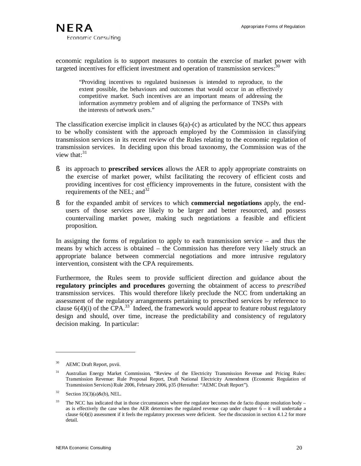economic regulation is to support measures to contain the exercise of market power with targeted incentives for efficient investment and operation of transmission services.<sup>30</sup>

"Providing incentives to regulated businesses is intended to reproduce, to the extent possible, the behaviours and outcomes that would occur in an effectively competitive market. Such incentives are an important means of addressing the information asymmetry problem and of aligning the performance of TNSPs with the interests of network users."

The classification exercise implicit in clauses  $6(a)$ -(c) as articulated by the NCC thus appears to be wholly consistent with the approach employed by the Commission in classifying transmission services in its recent review of the Rules relating to the economic regulation of transmission services. In deciding upon this broad taxonomy, the Commission was of the view that: $31$ 

- § its approach to **prescribed services** allows the AER to apply appropriate constraints on the exercise of market power, whilst facilitating the recovery of efficient costs and providing incentives for cost efficiency improvements in the future, consistent with the requirements of the NEL; and  $32$
- § for the expanded ambit of services to which **commercial negotiations** apply, the endusers of those services are likely to be larger and better resourced, and possess countervailing market power, making such negotiations a feasible and efficient proposition.

In assigning the forms of regulation to apply to each transmission service – and thus the means by which access is obtained – the Commission has therefore very likely struck an appropriate balance between commercial negotiations and more intrusive regulatory intervention, consistent with the CPA requirements.

Furthermore, the Rules seem to provide sufficient direction and guidance about the **regulatory principles and procedures** governing the obtainment of access to *prescribed* transmission services. This would therefore likely preclude the NCC from undertaking an assessment of the regulatory arrangements pertaining to prescribed services by reference to clause  $6(4)(i)$  of the CPA.<sup>33</sup> Indeed, the framework would appear to feature robust regulatory design and should, over time, increase the predictability and consistency of regulatory decision making. In particular:

<sup>&</sup>lt;sup>30</sup> AEMC Draft Report, pxvii.

<sup>&</sup>lt;sup>31</sup> Australian Energy Market Commission, "Review of the Electricity Transmission Revenue and Pricing Rules: Transmission Revenue: Rule Proposal Report, Draft National Electricity Amendment (Economic Regulation of Transmission Services) Rule 2006, February 2006, p35 (Hereafter: "AEMC Draft Report").

 $32$  Section 35(3)(a)&(b), NEL.

 $33$  The NCC has indicated that in those circumstances where the regulator becomes the de facto dispute resolution body – as is effectively the case when the AER determines the regulated revenue cap under chapter  $6 - it$  will undertake a clause  $6(4)(i)$  assessment if it feels the regulatory processes were deficient. See the discussion in section 4.1.2 for more detail.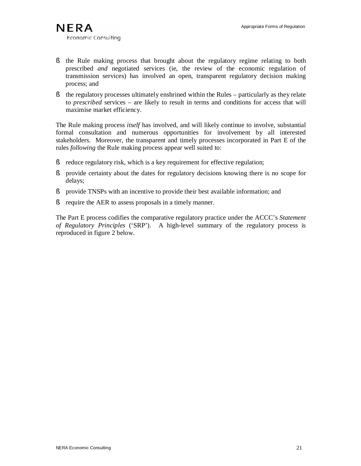- § the Rule making process that brought about the regulatory regime relating to both prescribed *and* negotiated services (ie, the review of the economic regulation of transmission services) has involved an open, transparent regulatory decision making process; and
- § the regulatory processes ultimately enshrined within the Rules particularly as they relate to *prescribed* services – are likely to result in terms and conditions for access that will maximise market efficiency.

The Rule making process *itself* has involved, and will likely continue to involve, substantial formal consultation and numerous opportunities for involvement by all interested stakeholders. Moreover, the transparent and timely processes incorporated in Part E of the rules *following* the Rule making process appear well suited to:

- § reduce regulatory risk, which is a key requirement for effective regulation;
- § provide certainty about the dates for regulatory decisions knowing there is no scope for delays;
- § provide TNSPs with an incentive to provide their best available information; and
- § require the AER to assess proposals in a timely manner.

The Part E process codifies the comparative regulatory practice under the ACCC's *Statement of Regulatory Principles* ('SRP'). A high-level summary of the regulatory process is reproduced in figure 2 below.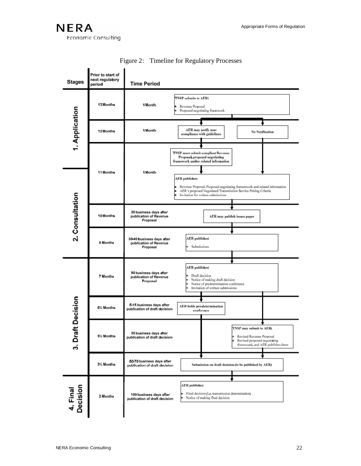**NERA** Economic Consulting

| <b>Stages</b>                     | Prior to start of<br>next regulatory<br>period | <b>Time Period</b>                                                                                                                                                                                                                                                                                                                      |
|-----------------------------------|------------------------------------------------|-----------------------------------------------------------------------------------------------------------------------------------------------------------------------------------------------------------------------------------------------------------------------------------------------------------------------------------------|
| 1. Application<br>2. Consultation | 13 Months                                      | TNSP submits to AER:<br>1 Month<br>Revenue Proposal<br>Proposed negotiating framework                                                                                                                                                                                                                                                   |
|                                   | 12 Months                                      | AER may notify non-<br>1 Month<br><b>No Notification</b><br>compliance with guidelines                                                                                                                                                                                                                                                  |
|                                   | 11 Months                                      | TNSP must submit compliant Revenue<br>Proposal, proposed negotiating<br>framework and⁄or related information.<br>1 Month<br><b>AER</b> publishes:<br>Revenue Proposal, Proposed negotiating framenwork and related information<br>AER's proposed Negotlated Transmission Service Pricing Criteria<br>Invitation for written submissions |
|                                   | 10 Months                                      | 20 business days after<br>publication of Revenue<br>AER may publish issues paper<br>Proposal                                                                                                                                                                                                                                            |
|                                   | 9 Months                                       | <b>AER</b> publishes:<br>30-40 business days after<br>publication of Revenue<br>Submissions<br>Proposal                                                                                                                                                                                                                                 |
| <b>t</b> Decision<br>3. Draf      | 7 Months                                       | AER publishes:<br>80 business days after<br>· Draft decision<br>publication of Revenue<br>Notice of making draft decision<br>Proposal<br>Notice of predetermination conference<br>Invitation of written submissions                                                                                                                     |
|                                   | 6% Months                                      | 5-15 business days after<br>AER holds pre-determination<br>publication of draft decision<br>conference                                                                                                                                                                                                                                  |
|                                   | 5% Months                                      | TNSP may submit to AER:<br>30 business days after<br>Revised Revenue Proposal<br>publication of draft decision<br>Revised proposed negotiating<br>framework, and AER publishes them                                                                                                                                                     |
|                                   | 31/ <sub>2</sub> Months                        | 50-70 business days after<br>Submission on draft decision (to be published by AER)<br>publication of draft decision                                                                                                                                                                                                                     |
| 4. Final<br>Decision              | 2 Months                                       | <b>AER</b> publishes:<br>Final decision (i.g. transmission determination)<br>š.<br>100 business days after<br>Notice of making final decision<br>publication of draft decision                                                                                                                                                          |

Figure 2: Timeline for Regulatory Processes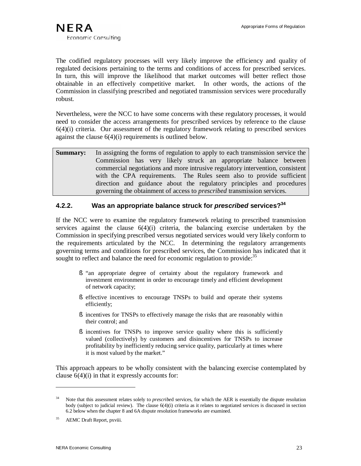The codified regulatory processes will very likely improve the efficiency and quality of regulated decisions pertaining to the terms and conditions of access for prescribed services. In turn, this will improve the likelihood that market outcomes will better reflect those obtainable in an effectively competitive market. In other words, the actions of the Commission in classifying prescribed and negotiated transmission services were procedurally robust.

Nevertheless, were the NCC to have some concerns with these regulatory processes, it would need to consider the access arrangements for prescribed services by reference to the clause  $6(4)(i)$  criteria. Our assessment of the regulatory framework relating to prescribed services against the clause 6(4)(i) requirements is outlined below.

**Summary:** In assigning the forms of regulation to apply to each transmission service the Commission has very likely struck an appropriate balance between commercial negotiations and more intrusive regulatory intervention, consistent with the CPA requirements. The Rules seem also to provide sufficient direction and guidance about the regulatory principles and procedures governing the obtainment of access to *prescribed* transmission services.

# **4.2.2. Was an appropriate balance struck for** *prescribed* **services?<sup>34</sup>**

If the NCC were to examine the regulatory framework relating to prescribed transmission services against the clause  $6(4)(i)$  criteria, the balancing exercise undertaken by the Commission in specifying prescribed versus negotiated services would very likely conform to the requirements articulated by the NCC. In determining the regulatory arrangements governing terms and conditions for prescribed services, the Commission has indicated that it sought to reflect and balance the need for economic regulation to provide:<sup>35</sup>

- § "an appropriate degree of certainty about the regulatory framework and investment environment in order to encourage timely and efficient development of network capacity;
- § effective incentives to encourage TNSPs to build and operate their systems efficiently;
- § incentives for TNSPs to effectively manage the risks that are reasonably within their control; and
- § incentives for TNSPs to improve service quality where this is sufficiently valued (collectively) by customers and disincentives for TNSPs to increase profitability by inefficiently reducing service quality, particularly at times where it is most valued by the market."

This approach appears to be wholly consistent with the balancing exercise contemplated by clause  $6(4)(i)$  in that it expressly accounts for:

<sup>34</sup> Note that this assessment relates solely to *prescribe*d services, for which the AER is essentially the dispute resolution body (subject to judicial review). The clause 6(4)(i) criteria as it relates to negotiated services is discussed in section 6.2 below when the chapter 8 and 6A dispute resolution frameworks are examined.

<sup>&</sup>lt;sup>35</sup> AEMC Draft Report, pxviii.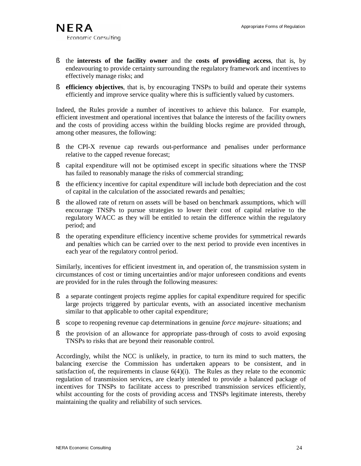- § the **interests of the facility owner** and the **costs of providing access**, that is, by endeavouring to provide certainty surrounding the regulatory framework and incentives to effectively manage risks; and
- § **efficiency objectives**, that is, by encouraging TNSPs to build and operate their systems efficiently and improve service quality where this is sufficiently valued by customers.

Indeed, the Rules provide a number of incentives to achieve this balance. For example, efficient investment and operational incentives that balance the interests of the facility owners and the costs of providing access within the building blocks regime are provided through, among other measures, the following:

- § the CPI-X revenue cap rewards out-performance and penalises under performance relative to the capped revenue forecast;
- § capital expenditure will not be optimised except in specific situations where the TNSP has failed to reasonably manage the risks of commercial stranding;
- § the efficiency incentive for capital expenditure will include both depreciation and the cost of capital in the calculation of the associated rewards and penalties;
- § the allowed rate of return on assets will be based on benchmark assumptions, which will encourage TNSPs to pursue strategies to lower their cost of capital relative to the regulatory WACC as they will be entitled to retain the difference within the regulatory period; and
- § the operating expenditure efficiency incentive scheme provides for symmetrical rewards and penalties which can be carried over to the next period to provide even incentives in each year of the regulatory control period.

Similarly, incentives for efficient investment in, and operation of, the transmission system in circumstances of cost or timing uncertainties and/or major unforeseen conditions and events are provided for in the rules through the following measures:

- § a separate contingent projects regime applies for capital expenditure required for specific large projects triggered by particular events, with an associated incentive mechanism similar to that applicable to other capital expenditure;
- § scope to reopening revenue cap determinations in genuine *force majeure* situations; and
- § the provision of an allowance for appropriate pass-through of costs to avoid exposing TNSPs to risks that are beyond their reasonable control.

Accordingly, whilst the NCC is unlikely, in practice, to turn its mind to such matters, the balancing exercise the Commission has undertaken appears to be consistent, and in satisfaction of, the requirements in clause  $6(4)(i)$ . The Rules as they relate to the economic regulation of transmission services, are clearly intended to provide a balanced package of incentives for TNSPs to facilitate access to prescribed transmission services efficiently, whilst accounting for the costs of providing access and TNSPs legitimate interests, thereby maintaining the quality and reliability of such services.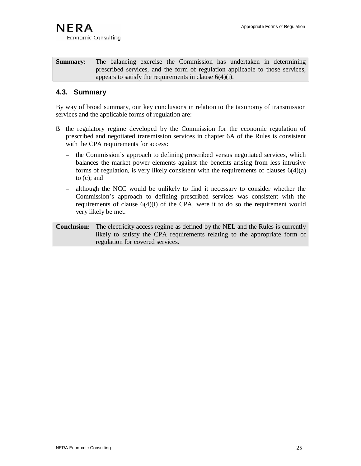Economic Consulting

**Summary:** The balancing exercise the Commission has undertaken in determining prescribed services, and the form of regulation applicable to those services, appears to satisfy the requirements in clause 6(4)(i).

# **4.3. Summary**

By way of broad summary, our key conclusions in relation to the taxonomy of transmission services and the applicable forms of regulation are:

- § the regulatory regime developed by the Commission for the economic regulation of prescribed and negotiated transmission services in chapter 6A of the Rules is consistent with the CPA requirements for access:
	- the Commission's approach to defining prescribed versus negotiated services, which balances the market power elements against the benefits arising from less intrusive forms of regulation, is very likely consistent with the requirements of clauses  $6(4)(a)$ to (c); and
	- although the NCC would be unlikely to find it necessary to consider whether the Commission's approach to defining prescribed services was consistent with the requirements of clause  $6(4)(i)$  of the CPA, were it to do so the requirement would very likely be met.

**Conclusion:** The electricity access regime as defined by the NEL and the Rules is currently likely to satisfy the CPA requirements relating to the appropriate form of regulation for covered services.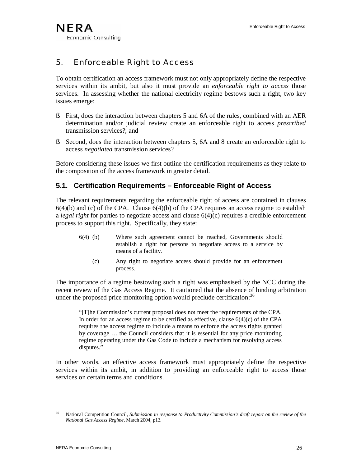# 5. Enforceable Right to Access

To obtain certification an access framework must not only appropriately define the respective services within its ambit, but also it must provide an *enforceable right to access* those services. In assessing whether the national electricity regime bestows such a right, two key issues emerge:

- § First, does the interaction between chapters 5 and 6A of the rules, combined with an AER determination and/or judicial review create an enforceable right to access *prescribed* transmission services?; and
- § Second, does the interaction between chapters 5, 6A and 8 create an enforceable right to access *negotiated* transmission services?

Before considering these issues we first outline the certification requirements as they relate to the composition of the access framework in greater detail.

# **5.1. Certification Requirements – Enforceable Right of Access**

The relevant requirements regarding the enforceable right of access are contained in clauses  $6(4)(b)$  and (c) of the CPA. Clause  $6(4)(b)$  of the CPA requires an access regime to establish a *legal right* for parties to negotiate access and clause 6(4)(c) requires a credible enforcement process to support this right. Specifically, they state:

- 6(4) (b) Where such agreement cannot be reached, Governments should establish a right for persons to negotiate access to a service by means of a facility.
	- (c) Any right to negotiate access should provide for an enforcement process.

The importance of a regime bestowing such a right was emphasised by the NCC during the recent review of the Gas Access Regime. It cautioned that the absence of binding arbitration under the proposed price monitoring option would preclude certification:  $36$ 

"[T]he Commission's current proposal does not meet the requirements of the CPA. In order for an access regime to be certified as effective, clause  $6(4)(c)$  of the CPA requires the access regime to include a means to enforce the access rights granted by coverage … the Council considers that it is essential for any price monitoring regime operating under the Gas Code to include a mechanism for resolving access disputes."

In other words, an effective access framework must appropriately define the respective services within its ambit, in addition to providing an enforceable right to access those services on certain terms and conditions.

<sup>36</sup> National Competition Council, *Submission in response to Productivity Commission's draft report on the review of the National Gas Access Regime,* March 2004, p13.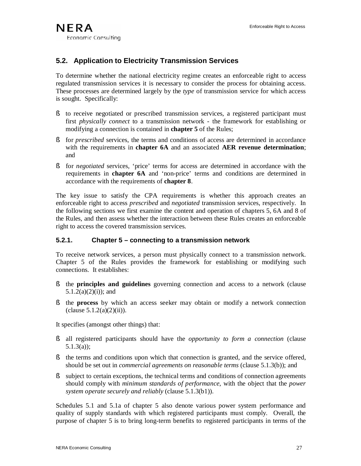# **5.2. Application to Electricity Transmission Services**

To determine whether the national electricity regime creates an enforceable right to access regulated transmission services it is necessary to consider the process for obtaining access. These processes are determined largely by the *type* of transmission service for which access is sought. Specifically:

- § to receive negotiated or prescribed transmission services, a registered participant must first *physically connect* to a transmission network - the framework for establishing or modifying a connection is contained in **chapter 5** of the Rules;
- § for *prescribed* services, the terms and conditions of access are determined in accordance with the requirements in **chapter 6A** and an associated **AER revenue determination**; and
- § for *negotiated* services, 'price' terms for access are determined in accordance with the requirements in **chapter 6A** and 'non-price' terms and conditions are determined in accordance with the requirements of **chapter 8**.

The key issue to satisfy the CPA requirements is whether this approach creates an enforceable right to access *prescribed* and *negotiated* transmission services, respectively. In the following sections we first examine the content and operation of chapters 5, 6A and 8 of the Rules, and then assess whether the interaction between these Rules creates an enforceable right to access the covered transmission services.

#### **5.2.1. Chapter 5 – connecting to a transmission network**

To receive network services, a person must physically connect to a transmission network. Chapter 5 of the Rules provides the framework for establishing or modifying such connections. It establishes:

- § the **principles and guidelines** governing connection and access to a network (clause  $5.1.2(a)(2)(i)$ ; and
- § the **process** by which an access seeker may obtain or modify a network connection  $clause 5.1.2(a)(2)(ii)$ .

It specifies (amongst other things) that:

- § all registered participants should have the *opportunity to form a connection* (clause 5.1.3(a));
- § the terms and conditions upon which that connection is granted, and the service offered, should be set out in *commercial agreements on reasonable terms* (clause 5.1.3(b)); and
- § subject to certain exceptions, the technical terms and conditions of connection agreements should comply with *minimum standards of performance*, with the object that the *power system operate securely and reliably* (clause 5.1.3(b1)).

Schedules 5.1 and 5.1a of chapter 5 also denote various power system performance and quality of supply standards with which registered participants must comply. Overall, the purpose of chapter 5 is to bring long-term benefits to registered participants in terms of the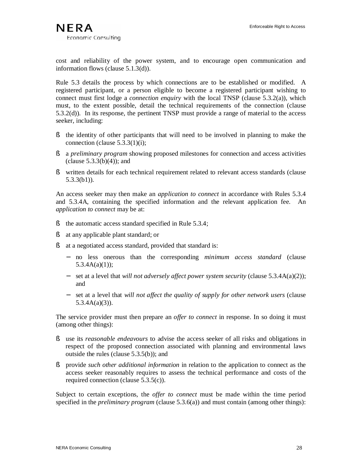cost and reliability of the power system, and to encourage open communication and information flows (clause 5.1.3(d)).

Rule 5.3 details the process by which connections are to be established or modified. A registered participant, or a person eligible to become a registered participant wishing to connect must first lodge a *connection enquiry* with the local TNSP (clause 5.3.2(a)), which must, to the extent possible, detail the technical requirements of the connection (clause 5.3.2(d)). In its response, the pertinent TNSP must provide a range of material to the access seeker, including:

- § the identity of other participants that will need to be involved in planning to make the connection (clause 5.3.3(1)(i);
- § a *preliminary program* showing proposed milestones for connection and access activities  $clause 5.3.3(b)(4))$ ; and
- § written details for each technical requirement related to relevant access standards (clause 5.3.3(b1)).

An access seeker may then make an *application to connect* in accordance with Rules 5.3.4 and 5.3.4A, containing the specified information and the relevant application fee. An *application to connect* may be at:

- § the automatic access standard specified in Rule 5.3.4;
- § at any applicable plant standard; or
- § at a negotiated access standard, provided that standard is:
	- − no less onerous than the corresponding *minimum access standard* (clause  $5.3.4A(a)(1)$ ;
	- − set at a level that *will not adversely affect power system security* (clause 5.3.4A(a)(2)); and
	- − set at a level that *will not affect the quality of supply for other network users* (clause 5.3.4A(a)(3)).

The service provider must then prepare an *offer to connect* in response. In so doing it must (among other things):

- § use its *reasonable endeavours* to advise the access seeker of all risks and obligations in respect of the proposed connection associated with planning and environmental laws outside the rules (clause 5.3.5(b)); and
- § provide *such other additional information* in relation to the application to connect as the access seeker reasonably requires to assess the technical performance and costs of the required connection (clause 5.3.5(c)).

Subject to certain exceptions, the *offer to connect* must be made within the time period specified in the *preliminary program* (clause 5.3.6(a)) and must contain (among other things):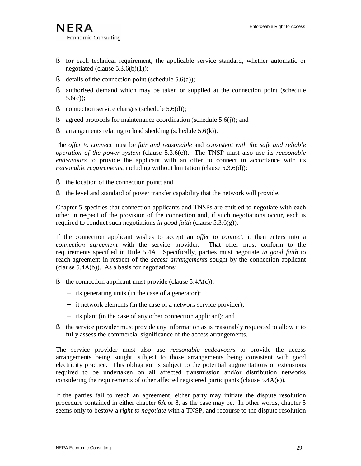- § for each technical requirement, the applicable service standard, whether automatic or negotiated (clause  $5.3.6(b)(1)$ );
- § details of the connection point (schedule  $5.6(a)$ );
- § authorised demand which may be taken or supplied at the connection point (schedule 5.6(c));
- § connection service charges (schedule 5.6(d));
- § agreed protocols for maintenance coordination (schedule 5.6(j)); and
- $\delta$  arrangements relating to load shedding (schedule 5.6(k)).

The *offer to connect* must be *fair and reasonable* and *consistent with the safe and reliable operation of the power system* (clause 5.3.6(c)). The TNSP must also use its *reasonable endeavours* to provide the applicant with an offer to connect in accordance with its *reasonable requirements*, including without limitation (clause 5.3.6(d)):

- § the location of the connection point; and
- § the level and standard of power transfer capability that the network will provide.

Chapter 5 specifies that connection applicants and TNSPs are entitled to negotiate with each other in respect of the provision of the connection and, if such negotiations occur, each is required to conduct such negotiations *in good faith* (clause 5.3.6(g)).

If the connection applicant wishes to accept an *offer to connect*, it then enters into a *connection agreement* with the service provider. That offer must conform to the requirements specified in Rule 5.4A. Specifically, parties must negotiate *in good faith* to reach agreement in respect of the *access arrangements* sought by the connection applicant (clause  $5.4A(b)$ ). As a basis for negotiations:

- § the connection applicant must provide (clause  $5.4A(c)$ ):
	- − its generating units (in the case of a generator);
	- − it network elements (in the case of a network service provider);
	- − its plant (in the case of any other connection applicant); and
- § the service provider must provide any information as is reasonably requested to allow it to fully assess the commercial significance of the access arrangements.

The service provider must also use *reasonable endeavours* to provide the access arrangements being sought, subject to those arrangements being consistent with good electricity practice. This obligation is subject to the potential augmentations or extensions required to be undertaken on all affected transmission and/or distribution networks considering the requirements of other affected registered participants (clause 5.4A(e)).

If the parties fail to reach an agreement, either party may initiate the dispute resolution procedure contained in either chapter 6A or 8, as the case may be. In other words, chapter 5 seems only to bestow a *right to negotiate* with a TNSP, and recourse to the dispute resolution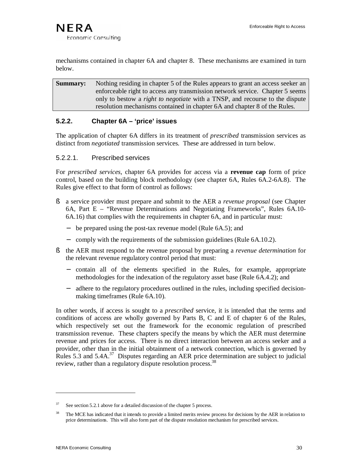mechanisms contained in chapter 6A and chapter 8. These mechanisms are examined in turn below.

**Summary:** Nothing residing in chapter 5 of the Rules appears to grant an access seeker an enforceable right to access any transmission network service. Chapter 5 seems only to bestow a *right to negotiate* with a TNSP, and recourse to the dispute resolution mechanisms contained in chapter 6A and chapter 8 of the Rules.

# **5.2.2. Chapter 6A – 'price' issues**

The application of chapter 6A differs in its treatment of *prescribed* transmission services as distinct from *negotiated* transmission services. These are addressed in turn below.

### 5.2.2.1. Prescribed services

For *prescribed services*, chapter 6A provides for access via a **revenue cap** form of price control, based on the building block methodology (see chapter 6A, Rules 6A.2-6A.8). The Rules give effect to that form of control as follows:

- § a service provider must prepare and submit to the AER a *revenue proposal* (see Chapter 6A, Part E – "Revenue Determinations and Negotiating Frameworks", Rules 6A.10- 6A.16) that complies with the requirements in chapter 6A, and in particular must:
	- − be prepared using the post-tax revenue model (Rule 6A.5); and
	- − comply with the requirements of the submission guidelines (Rule 6A.10.2).
- § the AER must respond to the revenue proposal by preparing a *revenue determination* for the relevant revenue regulatory control period that must:
	- − contain all of the elements specified in the Rules, for example, appropriate methodologies for the indexation of the regulatory asset base (Rule 6A.4.2); and
	- − adhere to the regulatory procedures outlined in the rules, including specified decisionmaking timeframes (Rule 6A.10).

In other words, if access is sought to a *prescribed* service, it is intended that the terms and conditions of access are wholly governed by Parts B, C and E of chapter 6 of the Rules, which respectively set out the framework for the economic regulation of prescribed transmission revenue. These chapters specify the means by which the AER must determine revenue and prices for access. There is no direct interaction between an access seeker and a provider, other than in the initial obtainment of a network connection, which is governed by Rules 5.3 and 5.4A.<sup>37</sup> Disputes regarding an AER price determination are subject to judicial review, rather than a regulatory dispute resolution process.<sup>38</sup>

 $37$  See section 5.2.1 above for a detailed discussion of the chapter 5 process.

<sup>38</sup> The MCE has indicated that it intends to provide a limited merits review process for decisions by the AER in relation to price determinations. This will also form part of the dispute resolution mechanism for prescribed services.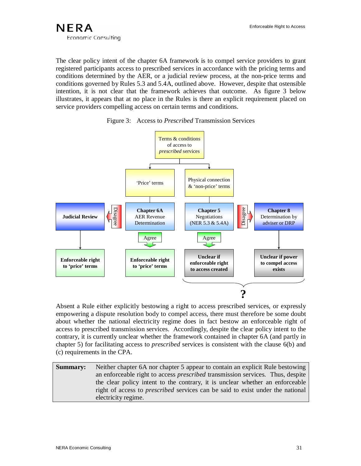

The clear policy intent of the chapter 6A framework is to compel service providers to grant registered participants access to prescribed services in accordance with the pricing terms and conditions determined by the AER, or a judicial review process, at the non-price terms and conditions governed by Rules 5.3 and 5.4A, outlined above. However, despite that ostensible intention, it is not clear that the framework achieves that outcome. As figure 3 below illustrates, it appears that at no place in the Rules is there an explicit requirement placed on service providers compelling access on certain terms and conditions.





Absent a Rule either explicitly bestowing a right to access prescribed services, or expressly empowering a dispute resolution body to compel access, there must therefore be some doubt about whether the national electricity regime does in fact bestow an enforceable right of access to prescribed transmission services. Accordingly, despite the clear policy intent to the contrary, it is currently unclear whether the framework contained in chapter 6A (and partly in chapter 5) for facilitating access to *prescribed* services is consistent with the clause 6(b) and (c) requirements in the CPA.

**Summary:** Neither chapter 6A nor chapter 5 appear to contain an explicit Rule bestowing an enforceable right to access *prescribed* transmission services. Thus, despite the clear policy intent to the contrary, it is unclear whether an enforceable right of access to *prescribed* services can be said to exist under the national electricity regime.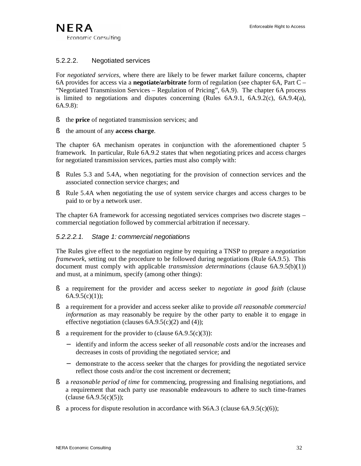### 5.2.2.2. Negotiated services

For *negotiated services,* where there are likely to be fewer market failure concerns, chapter 6A provides for access via a **negotiate/arbitrate** form of regulation (see chapter 6A, Part C – "Negotiated Transmission Services – Regulation of Pricing", 6A.9). The chapter 6A process is limited to negotiations and disputes concerning (Rules  $6A.9.1$ ,  $6A.9.2$ (c),  $6A.9.4$ (a), 6A.9.8):

- § the **price** of negotiated transmission services; and
- § the amount of any **access charge**.

The chapter 6A mechanism operates in conjunction with the aforementioned chapter 5 framework. In particular, Rule 6A.9.2 states that when negotiating prices and access charges for negotiated transmission services, parties must also comply with:

- § Rules 5.3 and 5.4A, when negotiating for the provision of connection services and the associated connection service charges; and
- § Rule 5.4A when negotiating the use of system service charges and access charges to be paid to or by a network user.

The chapter 6A framework for accessing negotiated services comprises two discrete stages – commercial negotiation followed by commercial arbitration if necessary.

#### *5.2.2.2.1. Stage 1: commercial negotiations*

The Rules give effect to the negotiation regime by requiring a TNSP to prepare a *negotiation framework,* setting out the procedure to be followed during negotiations (Rule 6A.9.5). This document must comply with applicable *transmission determinations* (clause 6A.9.5(b)(1)) and must, at a minimum, specify (among other things):

- § a requirement for the provider and access seeker to *negotiate in good faith* (clause  $6A.9.5(c)(1);$
- § a requirement for a provider and access seeker alike to provide *all reasonable commercial information* as may reasonably be require by the other party to enable it to engage in effective negotiation (clauses  $6A.9.5(c)(2)$  and  $(4)$ );
- **§** a requirement for the provider to (clause  $6A.9.5(c)(3)$ ):
	- − identify and inform the access seeker of all *reasonable costs* and/or the increases and decreases in costs of providing the negotiated service; and
	- − demonstrate to the access seeker that the charges for providing the negotiated service reflect those costs and/or the cost increment or decrement;
- § a *reasonable period of time* for commencing, progressing and finalising negotiations, and a requirement that each party use reasonable endeavours to adhere to such time-frames  $clause 6A.9.5(c)(5);$
- § a process for dispute resolution in accordance with  $S6A.3$  (clause  $6A.9.5(c)(6)$ );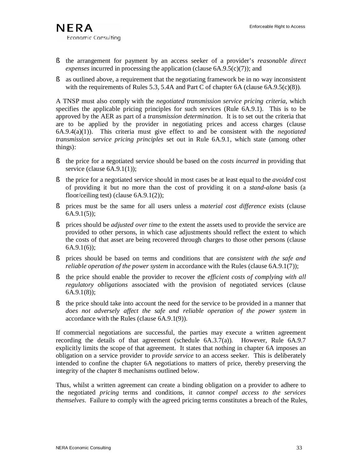- § the arrangement for payment by an access seeker of a provider's *reasonable direct expenses* incurred in processing the application (clause 6A.9.5(c)(7)); and
- § as outlined above, a requirement that the negotiating framework be in no way inconsistent with the requirements of Rules 5.3, 5.4A and Part C of chapter 6A (clause 6A.9.5(c)(8)).

A TNSP must also comply with the *negotiated transmission service pricing criteria*, which specifies the applicable pricing principles for such services (Rule 6A.9.1). This is to be approved by the AER as part of a *transmission determination*. It is to set out the criteria that are to be applied by the provider in negotiating prices and access charges (clause 6A.9.4(a)(1)). This criteria must give effect to and be consistent with the *negotiated transmission service pricing principles* set out in Rule 6A.9.1, which state (among other things):

- § the price for a negotiated service should be based on the *costs incurred* in providing that service (clause 6A.9.1(1));
- § the price for a negotiated service should in most cases be at least equal to the *avoided* cost of providing it but no more than the cost of providing it on a *stand-alone* basis (a floor/ceiling test) (clause 6A.9.1(2));
- § prices must be the same for all users unless a *material cost difference* exists (clause 6A.9.1(5));
- § prices should be *adjusted over time* to the extent the assets used to provide the service are provided to other persons, in which case adjustments should reflect the extent to which the costs of that asset are being recovered through charges to those other persons (clause  $6A.9.1(6)$ ;
- § prices should be based on terms and conditions that are *consistent with the safe and reliable operation of the power system* in accordance with the Rules (clause 6A.9.1(7));
- § the price should enable the provider to recover the *efficient costs of complying with all regulatory obligations* associated with the provision of negotiated services (clause 6A.9.1(8));
- § the price should take into account the need for the service to be provided in a manner that *does not adversely affect the safe and reliable operation of the power system* in accordance with the Rules (clause 6A.9.1(9)).

If commercial negotiations are successful, the parties may execute a written agreement recording the details of that agreement (schedule 6A.3.7(a)). However, Rule 6A.9.7 explicitly limits the scope of that agreement. It states that nothing in chapter 6A imposes an obligation on a service provider to *provide service* to an access seeker. This is deliberately intended to confine the chapter 6A negotiations to matters of price, thereby preserving the integrity of the chapter 8 mechanisms outlined below.

Thus, whilst a written agreement can create a binding obligation on a provider to adhere to the negotiated *pricing* terms and conditions, it *cannot compel access to the services themselves*. Failure to comply with the agreed pricing terms constitutes a breach of the Rules,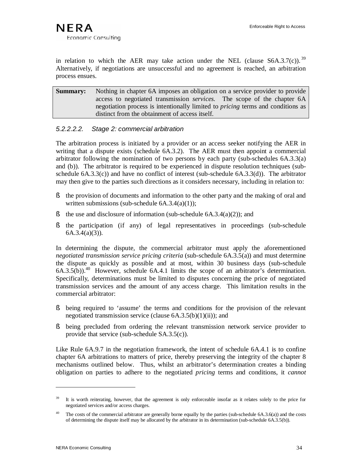in relation to which the AER may take action under the NEL (clause  $S6A.3.7(c)$ ).<sup>39</sup> Alternatively, if negotiations are unsuccessful and no agreement is reached, an arbitration process ensues.

**Summary:** Nothing in chapter 6A imposes an obligation on a service provider to provide access to negotiated transmission *services.* The scope of the chapter 6A negotiation process is intentionally limited to *pricing* terms and conditions as distinct from the obtainment of access itself.

#### *5.2.2.2.2. Stage 2: commercial arbitration*

The arbitration process is initiated by a provider or an access seeker notifying the AER in writing that a dispute exists (schedule 6A.3.2). The AER must then appoint a commercial arbitrator following the nomination of two persons by each party (sub-schedules 6A.3.3(a) and (b)). The arbitrator is required to be experienced in dispute resolution techniques (subschedule  $(6A.3.3(c))$  and have no conflict of interest (sub-schedule  $(6A.3.3(d))$ ). The arbitrator may then give to the parties such directions as it considers necessary, including in relation to:

- § the provision of documents and information to the other party and the making of oral and written submissions (sub-schedule  $6A.3.4(a)(1)$ );
- § the use and disclosure of information (sub-schedule  $6A.3.4(a)(2)$ ); and
- § the participation (if any) of legal representatives in proceedings (sub-schedule  $6A.3.4(a)(3)$ ).

In determining the dispute, the commercial arbitrator must apply the aforementioned *negotiated transmission service pricing criteria* (sub-schedule 6A.3.5(a)) and must determine the dispute as quickly as possible and at most, within 30 business days (sub-schedule  $6A.3.5(b)$ .<sup>40</sup> However, schedule  $6A.4.1$  limits the scope of an arbitrator's determination. Specifically, determinations must be limited to disputes concerning the price of negotiated transmission services and the amount of any access charge. This limitation results in the commercial arbitrator:

- § being required to 'assume' the terms and conditions for the provision of the relevant negotiated transmission service (clause  $6A.3.5(b)(1)(ii)$ ); and
- § being precluded from ordering the relevant transmission network service provider to provide that service (sub-schedule SA.3.5(c)).

Like Rule 6A.9.7 in the negotiation framework, the intent of schedule 6A.4.1 is to confine chapter 6A arbitrations to matters of price, thereby preserving the integrity of the chapter 8 mechanisms outlined below. Thus, whilst an arbitrator's determination creates a binding obligation on parties to adhere to the negotiated *pricing* terms and conditions, it *cannot* 

<sup>&</sup>lt;sup>39</sup> It is worth reiterating, however, that the agreement is only enforceable insofar as it relates solely to the price for negotiated services and/or access charges.

<sup>&</sup>lt;sup>40</sup> The costs of the commercial arbitrator are generally borne equally by the parties (sub-schedule  $6A.3.6(a)$ ) and the costs of determining the dispute itself may be allocated by the arbitrator in its determination (sub-schedule 6A.3.5(b)).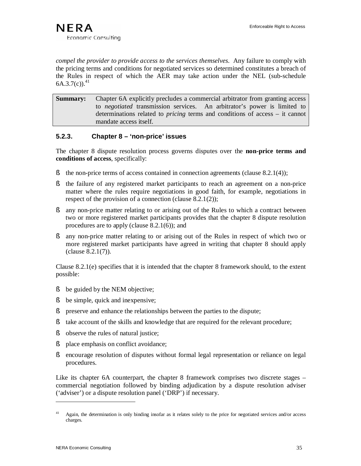*compel the provider to provide access to the services themselves*. Any failure to comply with the pricing terms and conditions for negotiated services so determined constitutes a breach of the Rules in respect of which the AER may take action under the NEL (sub-schedule  $6A.3.7(c)$ <sup>41</sup>

**Summary:** Chapter 6A explicitly precludes a commercial arbitrator from granting access to *negotiated* transmission services. An arbitrator's power is limited to determinations related to *pricing* terms and conditions of access – it cannot mandate access itself.

### **5.2.3. Chapter 8 – 'non-price' issues**

The chapter 8 dispute resolution process governs disputes over the **non-price terms and conditions of access**, specifically:

- § the non-price terms of access contained in connection agreements (clause 8.2.1(4));
- § the failure of any registered market participants to reach an agreement on a non-price matter where the rules require negotiations in good faith, for example, negotiations in respect of the provision of a connection (clause 8.2.1(2));
- § any non-price matter relating to or arising out of the Rules to which a contract between two or more registered market participants provides that the chapter 8 dispute resolution procedures are to apply (clause 8.2.1(6)); and
- § any non-price matter relating to or arising out of the Rules in respect of which two or more registered market participants have agreed in writing that chapter 8 should apply (clause 8.2.1(7)).

Clause 8.2.1(e) specifies that it is intended that the chapter 8 framework should, to the extent possible:

- § be guided by the NEM objective;
- § be simple, quick and inexpensive;
- § preserve and enhance the relationships between the parties to the dispute;
- § take account of the skills and knowledge that are required for the relevant procedure;
- § observe the rules of natural justice;
- § place emphasis on conflict avoidance;
- § encourage resolution of disputes without formal legal representation or reliance on legal procedures.

Like its chapter 6A counterpart, the chapter 8 framework comprises two discrete stages – commercial negotiation followed by binding adjudication by a dispute resolution adviser ('adviser') or a dispute resolution panel ('DRP') if necessary.

<sup>&</sup>lt;sup>41</sup> Again, the determination is only binding insofar as it relates solely to the price for negotiated services and/or access charges.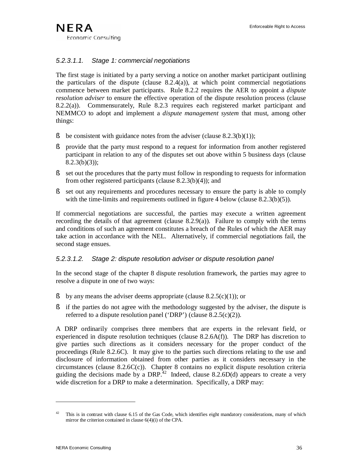### *5.2.3.1.1. Stage 1: commercial negotiations*

The first stage is initiated by a party serving a notice on another market participant outlining the particulars of the dispute (clause  $8.2.4(a)$ ), at which point commercial negotiations commence between market participants. Rule 8.2.2 requires the AER to appoint a *dispute resolution adviser* to ensure the effective operation of the dispute resolution process (clause 8.2.2(a)). Commensurately, Rule 8.2.3 requires each registered market participant and NEMMCO to adopt and implement a *dispute management system* that must, among other things:

- § be consistent with guidance notes from the adviser (clause  $8.2.3(b)(1)$ );
- § provide that the party must respond to a request for information from another registered participant in relation to any of the disputes set out above within 5 business days (clause  $8.2.3(b)(3)$ ;
- § set out the procedures that the party must follow in responding to requests for information from other registered participants (clause 8.2.3(b)(4)); and
- § set out any requirements and procedures necessary to ensure the party is able to comply with the time-limits and requirements outlined in figure 4 below (clause  $8.2.3(b)(5)$ ).

If commercial negotiations are successful, the parties may execute a written agreement recording the details of that agreement (clause 8.2.9(a)). Failure to comply with the terms and conditions of such an agreement constitutes a breach of the Rules of which the AER may take action in accordance with the NEL. Alternatively, if commercial negotiations fail, the second stage ensues.

### *5.2.3.1.2. Stage 2: dispute resolution adviser or dispute resolution panel*

In the second stage of the chapter 8 dispute resolution framework, the parties may agree to resolve a dispute in one of two ways:

- § by any means the adviser deems appropriate (clause  $8.2.5(c)(1)$ ); or
- § if the parties do not agree with the methodology suggested by the adviser, the dispute is referred to a dispute resolution panel ('DRP') (clause 8.2.5(c)(2)).

A DRP ordinarily comprises three members that are experts in the relevant field, or experienced in dispute resolution techniques (clause 8.2.6A(f)). The DRP has discretion to give parties such directions as it considers necessary for the proper conduct of the proceedings (Rule 8.2.6C). It may give to the parties such directions relating to the use and disclosure of information obtained from other parties as it considers necessary in the circumstances (clause 8.2.6C(c)). Chapter 8 contains no explicit dispute resolution criteria guiding the decisions made by a DRP.<sup>42</sup> Indeed, clause 8.2.6D(d) appears to create a very wide discretion for a DRP to make a determination. Specifically, a DRP may:

This is in contrast with clause 6.15 of the Gas Code, which identifies eight mandatory considerations, many of which mirror the criterion contained in clause 6(4)(i) of the CPA.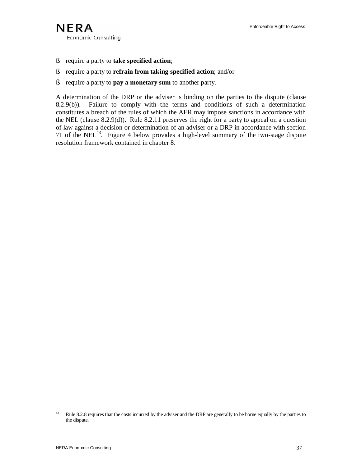

- § require a party to **take specified action**;
- § require a party to **refrain from taking specified action**; and/or
- § require a party to **pay a monetary sum** to another party.

A determination of the DRP or the adviser is binding on the parties to the dispute (clause 8.2.9(b)). Failure to comply with the terms and conditions of such a determination constitutes a breach of the rules of which the AER may impose sanctions in accordance with the NEL (clause 8.2.9(d)). Rule 8.2.11 preserves the right for a party to appeal on a question of law against a decision or determination of an adviser or a DRP in accordance with section 71 of the NEL<sup>43</sup>. Figure 4 below provides a high-level summary of the two-stage dispute resolution framework contained in chapter 8.

<sup>&</sup>lt;sup>43</sup> Rule 8.2.8 requires that the costs incurred by the adviser and the DRP are generally to be borne equally by the parties to the dispute.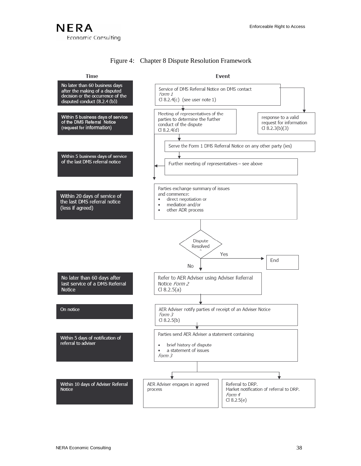# **NERA** Economic Consulting

### Figure 4: Chapter 8 Dispute Resolution Framework

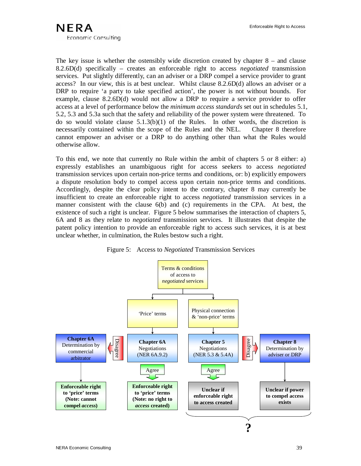The key issue is whether the ostensibly wide discretion created by chapter 8 – and clause 8.2.6D(d) specifically – creates an enforceable right to access *negotiated* transmission services. Put slightly differently, can an adviser or a DRP compel a service provider to grant access? In our view, this is at best unclear. Whilst clause 8.2.6D(d) allows an adviser or a DRP to require 'a party to take specified action', the power is not without bounds. For example, clause 8.2.6D(d) would not allow a DRP to require a service provider to offer access at a level of performance below the *minimum access standards* set out in schedules 5.1, 5.2, 5.3 and 5.3a such that the safety and reliability of the power system were threatened. To do so would violate clause  $5.1.3(b)(1)$  of the Rules. In other words, the discretion is necessarily contained within the scope of the Rules and the NEL. Chapter 8 therefore cannot empower an adviser or a DRP to do anything other than what the Rules would otherwise allow.

To this end, we note that currently no Rule within the ambit of chapters 5 or 8 either: a) expressly establishes an unambiguous right for access seekers to access *negotiated* transmission services upon certain non-price terms and conditions, or: b) explicitly empowers a dispute resolution body to compel access upon certain non-price terms and conditions. Accordingly, despite the clear policy intent to the contrary, chapter 8 may currently be insufficient to create an enforceable right to access *negotiated* transmission services in a manner consistent with the clause 6(b) and (c) requirements in the CPA. At best, the existence of such a right is unclear. Figure 5 below summarises the interaction of chapters 5, 6A and 8 as they relate to *negotiated* transmission services. It illustrates that despite the patent policy intention to provide an enforceable right to access such services, it is at best unclear whether, in culmination, the Rules bestow such a right.



Figure 5: Access to *Negotiated* Transmission Services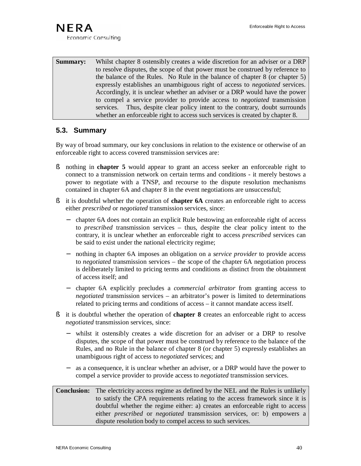**Summary:** Whilst chapter 8 ostensibly creates a wide discretion for an adviser or a DRP to resolve disputes, the scope of that power must be construed by reference to the balance of the Rules. No Rule in the balance of chapter 8 (or chapter 5) expressly establishes an unambiguous right of access to *negotiated* services. Accordingly, it is unclear whether an adviser or a DRP would have the power to compel a service provider to provide access to *negotiated* transmission services. Thus, despite clear policy intent to the contrary, doubt surrounds whether an enforceable right to access such services is created by chapter 8.

### **5.3. Summary**

By way of broad summary, our key conclusions in relation to the existence or otherwise of an enforceable right to access covered transmission services are:

- § nothing in **chapter 5** would appear to grant an access seeker an enforceable right to connect to a transmission network on certain terms and conditions - it merely bestows a power to negotiate with a TNSP, and recourse to the dispute resolution mechanisms contained in chapter 6A and chapter 8 in the event negotiations are unsuccessful;
- § it is doubtful whether the operation of **chapter 6A** creates an enforceable right to access either *prescribed* or *negotiated* transmission services, since:
	- − chapter 6A does not contain an explicit Rule bestowing an enforceable right of access to *prescribed* transmission services – thus, despite the clear policy intent to the contrary, it is unclear whether an enforceable right to access *prescribed* services can be said to exist under the national electricity regime;
	- − nothing in chapter 6A imposes an obligation on a *service provider* to provide access to *negotiated* transmission services – the scope of the chapter 6A negotiation process is deliberately limited to pricing terms and conditions as distinct from the obtainment of access itself; and
	- − chapter 6A explicitly precludes a *commercial arbitrator* from granting access to *negotiated* transmission services – an arbitrator's power is limited to determinations related to pricing terms and conditions of access – it cannot mandate access itself.
- § it is doubtful whether the operation of **chapter 8** creates an enforceable right to access *negotiated* transmission services, since:
	- whilst it ostensibly creates a wide discretion for an adviser or a DRP to resolve disputes, the scope of that power must be construed by reference to the balance of the Rules, and no Rule in the balance of chapter 8 (or chapter 5) expressly establishes an unambiguous right of access to *negotiated* services; and
	- as a consequence, it is unclear whether an adviser, or a DRP would have the power to compel a service provider to provide access to *negotiated* transmission services.

#### **Conclusion:** The electricity access regime as defined by the NEL and the Rules is unlikely to satisfy the CPA requirements relating to the access framework since it is doubtful whether the regime either: a) creates an enforceable right to access either *prescribed* or *negotiated* transmission services, or: b) empowers a dispute resolution body to compel access to such services.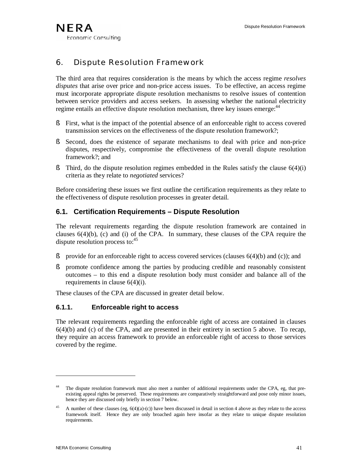# 6. Dispute Resolution Framework

The third area that requires consideration is the means by which the access regime *resolves disputes* that arise over price and non-price access issues. To be effective, an access regime must incorporate appropriate dispute resolution mechanisms to resolve issues of contention between service providers and access seekers. In assessing whether the national electricity regime entails an effective dispute resolution mechanism, three key issues emerge:<sup>44</sup>

- § First, what is the impact of the potential absence of an enforceable right to access covered transmission services on the effectiveness of the dispute resolution framework?;
- § Second, does the existence of separate mechanisms to deal with price and non-price disputes, respectively, compromise the effectiveness of the overall dispute resolution framework?; and
- § Third, do the dispute resolution regimes embedded in the Rules satisfy the clause  $6(4)(i)$ criteria as they relate to *negotiated* services?

Before considering these issues we first outline the certification requirements as they relate to the effectiveness of dispute resolution processes in greater detail.

# **6.1. Certification Requirements – Dispute Resolution**

The relevant requirements regarding the dispute resolution framework are contained in clauses  $6(4)(b)$ , (c) and (i) of the CPA. In summary, these clauses of the CPA require the dispute resolution process to:<sup>45</sup>

- § provide for an enforceable right to access covered services (clauses  $6(4)(b)$  and (c)); and
- § promote confidence among the parties by producing credible and reasonably consistent outcomes – to this end a dispute resolution body must consider and balance all of the requirements in clause 6(4)(i).

These clauses of the CPA are discussed in greater detail below.

### **6.1.1. Enforceable right to access**

The relevant requirements regarding the enforceable right of access are contained in clauses 6(4)(b) and (c) of the CPA, and are presented in their entirety in section 5 above. To recap, they require an access framework to provide an enforceable right of access to those services covered by the regime.

The dispute resolution framework must also meet a number of additional requirements under the CPA, eg, that preexisting appeal rights be preserved. These requirements are comparatively straightforward and pose only minor issues, hence they are discussed only briefly in section 7 below.

A number of these clauses (eg,  $6(4)(a)$ -(c)) have been discussed in detail in section 4 above as they relate to the access framework itself. Hence they are only broached again here insofar as they relate to unique dispute resolution requirements.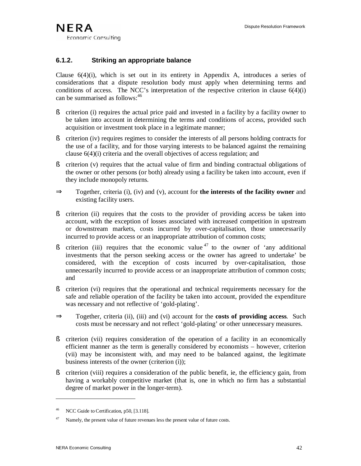### **6.1.2. Striking an appropriate balance**

Clause  $6(4)(i)$ , which is set out in its entirety in Appendix A, introduces a series of considerations that a dispute resolution body must apply when determining terms and conditions of access. The NCC's interpretation of the respective criterion in clause 6(4)(i) can be summarised as follows: 46

- § criterion (i) requires the actual price paid and invested in a facility by a facility owner to be taken into account in determining the terms and conditions of access, provided such acquisition or investment took place in a legitimate manner;
- § criterion (iv) requires regimes to consider the interests of all persons holding contracts for the use of a facility, and for those varying interests to be balanced against the remaining clause 6(4)(i) criteria and the overall objectives of access regulation; and
- § criterion (v) requires that the actual value of firm and binding contractual obligations of the owner or other persons (or both) already using a facility be taken into account, even if they include monopoly returns.
- ⇒ Together, criteria (i), (iv) and (v), account for **the interests of the facility owner** and existing facility users.
- § criterion (ii) requires that the costs to the provider of providing access be taken into account, with the exception of losses associated with increased competition in upstream or downstream markets, costs incurred by over-capitalisation, those unnecessarily incurred to provide access or an inappropriate attribution of common costs;
- S criterion (iii) requires that the economic value  $47$  to the owner of 'any additional investments that the person seeking access or the owner has agreed to undertake' be considered, with the exception of costs incurred by over-capitalisation, those unnecessarily incurred to provide access or an inappropriate attribution of common costs; and
- § criterion (vi) requires that the operational and technical requirements necessary for the safe and reliable operation of the facility be taken into account, provided the expenditure was necessary and not reflective of 'gold-plating'.
- ⇒ Together, criteria (ii), (iii) and (vi) account for the **costs of providing access**. Such costs must be necessary and not reflect 'gold-plating' or other unnecessary measures.
- § criterion (vii) requires consideration of the operation of a facility in an economically efficient manner as the term is generally considered by economists – however, criterion (vii) may be inconsistent with, and may need to be balanced against, the legitimate business interests of the owner (criterion (i));
- § criterion (viii) requires a consideration of the public benefit, ie, the efficiency gain, from having a workably competitive market (that is, one in which no firm has a substantial degree of market power in the longer-term).

<sup>&</sup>lt;sup>46</sup> NCC Guide to Certification, p50, [3.118].

 $47$  Namely, the present value of future revenues less the present value of future costs.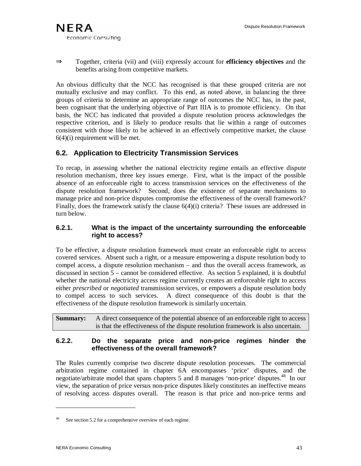

⇒ Together, criteria (vii) and (viii) expressly account for **efficiency objectives** and the benefits arising from competitive markets.

An obvious difficulty that the NCC has recognised is that these grouped criteria are not mutually exclusive and may conflict. To this end, as noted above, in balancing the three groups of criteria to determine an appropriate range of outcomes the NCC has, in the past, been cognisant that the underlying objective of Part IIIA is to promote efficiency. On that basis, the NCC has indicated that provided a dispute resolution process acknowledges the respective criterion, and is likely to produce results that lie within a range of outcomes consistent with those likely to be achieved in an effectively competitive market, the clause  $6(4)(i)$  requirement will be met.

# **6.2. Application to Electricity Transmission Services**

To recap, in assessing whether the national electricity regime entails an effective dispute resolution mechanism, three key issues emerge. First, what is the impact of the possible absence of an enforceable right to access transmission services on the effectiveness of the dispute resolution framework? Second, does the existence of separate mechanisms to manage price and non-price disputes compromise the effectiveness of the overall framework? Finally, does the framework satisfy the clause 6(4)(i) criteria? These issues are addressed in turn below.

### **6.2.1. What is the impact of the uncertainty surrounding the enforceable right to access?**

To be effective, a dispute resolution framework must create an enforceable right to access covered services. Absent such a right, or a measure empowering a dispute resolution body to compel access, a dispute resolution mechanism – and thus the overall access framework, as discussed in section 5 – cannot be considered effective. As section 5 explained, it is doubtful whether the national electricity access regime currently creates an enforceable right to access either *prescribed* or *negotiated* transmission services, or empowers a dispute resolution body to compel access to such services. A direct consequence of this doubt is that the effectiveness of the dispute resolution framework is similarly uncertain.

**Summary:** A direct consequence of the potential absence of an enforceable right to access is that the effectiveness of the dispute resolution framework is also uncertain.

### **6.2.2. Do the separate price and non-price regimes hinder the effectiveness of the overall framework?**

The Rules currently comprise two discrete dispute resolution processes. The commercial arbitration regime contained in chapter 6A encompasses 'price' disputes, and the negotiate/arbitrate model that spans chapters 5 and 8 manages 'non-price' disputes. <sup>48</sup> In our view, the separation of price versus non-price disputes likely constitutes an ineffective means of resolving access disputes overall. The reason is that price and non-price terms and

See section 5.2 for a comprehensive overview of each regime.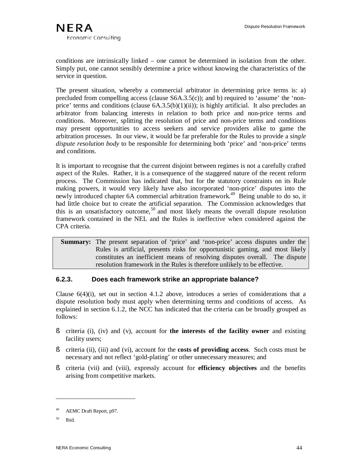conditions are intrinsically linked – one cannot be determined in isolation from the other. Simply put, one cannot sensibly determine a price without knowing the characteristics of the service in question.

The present situation, whereby a commercial arbitrator in determining price terms is: a) precluded from compelling access (clause S6A.3.5(c)); and b) required to 'assume' the 'nonprice' terms and conditions (clause  $(6A.3.5(b)(1)(ii))$ ; is highly artificial. It also precludes an arbitrator from balancing interests in relation to both price and non-price terms and conditions. Moreover, splitting the resolution of price and non-price terms and conditions may present opportunities to access seekers and service providers alike to game the arbitration processes. In our view, it would be far preferable for the Rules to provide a *single dispute resolution body* to be responsible for determining both 'price' and 'non-price' terms and conditions.

It is important to recognise that the current disjoint between regimes is not a carefully crafted aspect of the Rules. Rather, it is a consequence of the staggered nature of the recent reform process. The Commission has indicated that, but for the statutory constraints on its Rule making powers, it would very likely have also incorporated 'non-price' disputes into the newly introduced chapter 6A commercial arbitration framework.<sup>49</sup> Being unable to do so, it had little choice but to create the artificial separation. The Commission acknowledges that this is an unsatisfactory outcome,<sup>50</sup> and most likely means the overall dispute resolution framework contained in the NEL and the Rules is ineffective when considered against the CPA criteria.

 **Summary:** The present separation of 'price' and 'non-price' access disputes under the Rules is artificial, presents risks for opportunistic gaming, and most likely constitutes an inefficient means of resolving disputes overall. The dispute resolution framework in the Rules is therefore unlikely to be effective.

### **6.2.3. Does each framework strike an appropriate balance?**

Clause 6(4)(i), set out in section 4.1.2 above, introduces a series of considerations that a dispute resolution body must apply when determining terms and conditions of access. As explained in section 6.1.2, the NCC has indicated that the criteria can be broadly grouped as follows:

- § criteria (i), (iv) and (v), account for **the interests of the facility owner** and existing facility users;
- § criteria (ii), (iii) and (vi), account for the **costs of providing access**. Such costs must be necessary and not reflect 'gold-plating' or other unnecessary measures; and
- § criteria (vii) and (viii), expressly account for **efficiency objectives** and the benefits arising from competitive markets.

<sup>&</sup>lt;sup>49</sup> AEMC Draft Report, p97.

<sup>50</sup> Ibid.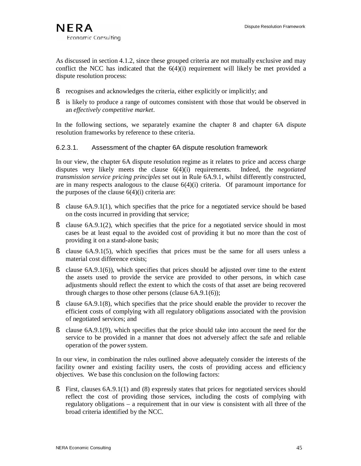As discussed in section 4.1.2, since these grouped criteria are not mutually exclusive and may conflict the NCC has indicated that the  $6(4)(i)$  requirement will likely be met provided a dispute resolution process:

- § recognises and acknowledges the criteria, either explicitly or implicitly; and
- § is likely to produce a range of outcomes consistent with those that would be observed in an *effectively competitive market*.

In the following sections, we separately examine the chapter 8 and chapter 6A dispute resolution frameworks by reference to these criteria.

### 6.2.3.1. Assessment of the chapter 6A dispute resolution framework

In our view, the chapter 6A dispute resolution regime as it relates to price and access charge disputes very likely meets the clause 6(4)(i) requirements. Indeed, the *negotiated transmission service pricing principles* set out in Rule 6A.9.1, whilst differently constructed, are in many respects analogous to the clause  $6(4)(i)$  criteria. Of paramount importance for the purposes of the clause  $6(4)(i)$  criteria are:

- § clause 6A.9.1(1), which specifies that the price for a negotiated service should be based on the costs incurred in providing that service;
- § clause 6A.9.1(2), which specifies that the price for a negotiated service should in most cases be at least equal to the avoided cost of providing it but no more than the cost of providing it on a stand-alone basis;
- § clause 6A.9.1(5), which specifies that prices must be the same for all users unless a material cost difference exists;
- § clause 6A.9.1(6)), which specifies that prices should be adjusted over time to the extent the assets used to provide the service are provided to other persons, in which case adjustments should reflect the extent to which the costs of that asset are being recovered through charges to those other persons (clause 6A.9.1(6));
- § clause 6A.9.1(8), which specifies that the price should enable the provider to recover the efficient costs of complying with all regulatory obligations associated with the provision of negotiated services; and
- § clause 6A.9.1(9), which specifies that the price should take into account the need for the service to be provided in a manner that does not adversely affect the safe and reliable operation of the power system.

In our view, in combination the rules outlined above adequately consider the interests of the facility owner and existing facility users, the costs of providing access and efficiency objectives. We base this conclusion on the following factors:

§ First, clauses 6A.9.1(1) and (8) expressly states that prices for negotiated services should reflect the cost of providing those services, including the costs of complying with regulatory obligations – a requirement that in our view is consistent with all three of the broad criteria identified by the NCC.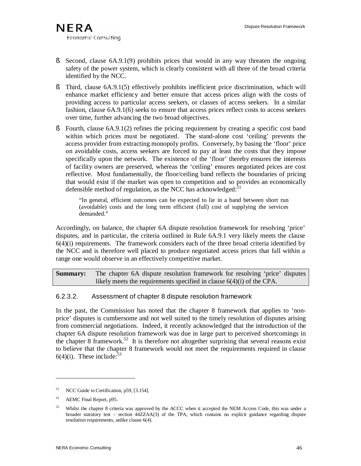- § Second, clause 6A.9.1(9) prohibits prices that would in any way threaten the ongoing safety of the power system, which is clearly consistent with all three of the broad criteria identified by the NCC.
- § Third, clause 6A.9.1(5) effectively prohibits inefficient price discrimination, which will enhance market efficiency and better ensure that access prices align with the costs of providing access to particular access seekers, or classes of access seekers. In a similar fashion, clause 6A.9.1(6) seeks to ensure that access prices reflect costs to access seekers over time, further advancing the two broad objectives.
- § Fourth, clause 6A.9.1(2) refines the pricing requirement by creating a specific cost band within which prices must be negotiated. The stand-alone cost 'ceiling' prevents the access provider from extracting monopoly profits. Conversely, by basing the 'floor' price on avoidable costs, access seekers are forced to pay at least the costs that they impose specifically upon the network. The existence of the 'floor' thereby ensures the interests of facility owners are preserved, whereas the 'ceiling' ensures negotiated prices are cost reflective. Most fundamentally, the floor/ceiling band reflects the boundaries of pricing that would exist if the market was open to competition and so provides an economically defensible method of regulation, as the NCC has acknowledged: $51$

"In general, efficient outcomes can be expected to lie in a band between short run (avoidable) costs and the long term efficient (full) cost of supplying the services demanded."

Accordingly, on balance, the chapter 6A dispute resolution framework for resolving 'price' disputes, and in particular, the criteria outlined in Rule 6A.9.1 very likely meets the clause  $6(4)(i)$  requirements. The framework considers each of the three broad criteria identified by the NCC and is therefore well placed to produce negotiated access prices that fall within a range one would observe in an effectively competitive market.

**Summary:** The chapter 6A dispute resolution framework for resolving 'price' disputes likely meets the requirements specified in clause 6(4)(i) of the CPA.

# 6.2.3.2. Assessment of chapter 8 dispute resolution framework

In the past, the Commission has noted that the chapter 8 framework that applies to 'nonprice' disputes is cumbersome and not well suited to the timely resolution of disputes arising from commercial negotiations. Indeed, it recently acknowledged that the introduction of the chapter 6A dispute resolution framework was due in large part to perceived shortcomings in the chapter 8 framework.<sup>52</sup> It is therefore not altogether surprising that several reasons exist to believe that the chapter 8 framework would not meet the requirements required in clause  $6(4)(i)$ . These include:<sup>53</sup>

<sup>&</sup>lt;sup>51</sup> NCC Guide to Certification, p59, [3.154].

<sup>52</sup> AEMC Final Report, p95.

<sup>&</sup>lt;sup>53</sup> Whilst the chapter 8 criteria was approved by the ACCC when it accepted the NEM Access Code, this was under a broader statutory test – section 44ZZAA(3) of the TPA, which contains no explicit guidance regarding dispute resolution requirements, unlike clause 6(4).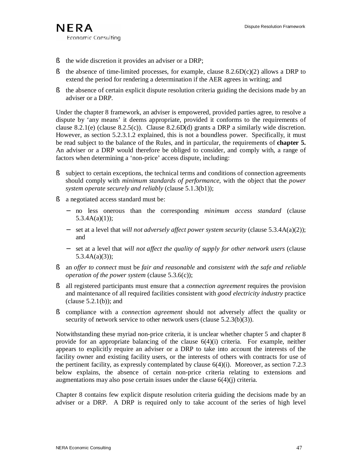- § the wide discretion it provides an adviser or a DRP;
- § the absence of time-limited processes, for example, clause  $8.2.6D(c)(2)$  allows a DRP to extend the period for rendering a determination if the AER agrees in writing; and
- § the absence of certain explicit dispute resolution criteria guiding the decisions made by an adviser or a DRP.

Under the chapter 8 framework, an adviser is empowered, provided parties agree, to resolve a dispute by 'any means' it deems appropriate, provided it conforms to the requirements of clause 8.2.1(e) (clause 8.2.5(c)). Clause 8.2.6D(d) grants a DRP a similarly wide discretion. However, as section 5.2.3.1.2 explained, this is not a boundless power. Specifically, it must be read subject to the balance of the Rules, and in particular, the requirements of **chapter 5.** An adviser or a DRP would therefore be obliged to consider, and comply with, a range of factors when determining a 'non-price' access dispute, including:

- § subject to certain exceptions, the technical terms and conditions of connection agreements should comply with *minimum standards of performance*, with the object that the *power system operate securely and reliably* (clause 5.1.3(b1));
- § a negotiated access standard must be:
	- − no less onerous than the corresponding *minimum access standard* (clause  $5.3.4A(a)(1)$ ;
	- − set at a level that *will not adversely affect power system security* (clause 5.3.4A(a)(2)); and
	- − set at a level that *will not affect the quality of supply for other network users* (clause 5.3.4A(a)(3));
- § an *offer to connect* must be *fair and reasonable* and *consistent with the safe and reliable operation of the power system* (clause 5.3.6(c));
- § all registered participants must ensure that a *connection agreement* requires the provision and maintenance of all required facilities consistent with *good electricity industry* practice (clause  $5.2.1(b)$ ); and
- § compliance with a *connection agreement* should not adversely affect the quality or security of network service to other network users (clause 5.2.3(b)(3)).

Notwithstanding these myriad non-price criteria, it is unclear whether chapter 5 and chapter 8 provide for an appropriate balancing of the clause  $6(4)(i)$  criteria. For example, neither appears to explicitly require an adviser or a DRP to take into account the interests of the facility owner and existing facility users, or the interests of others with contracts for use of the pertinent facility, as expressly contemplated by clause  $6(4)(i)$ . Moreover, as section 7.2.3 below explains, the absence of certain non-price criteria relating to extensions and augmentations may also pose certain issues under the clause 6(4)(j) criteria.

Chapter 8 contains few explicit dispute resolution criteria guiding the decisions made by an adviser or a DRP. A DRP is required only to take account of the series of high level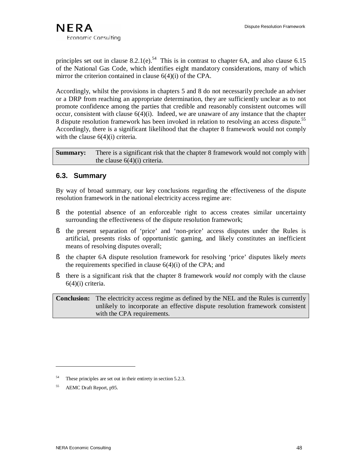

principles set out in clause  $8.2.1(e).$ <sup>54</sup> This is in contrast to chapter 6A, and also clause 6.15 of the National Gas Code, which identifies eight mandatory considerations, many of which mirror the criterion contained in clause 6(4)(i) of the CPA.

Accordingly, whilst the provisions in chapters 5 and 8 do not necessarily preclude an adviser or a DRP from reaching an appropriate determination, they are sufficiently unclear as to not promote confidence among the parties that credible and reasonably consistent outcomes will occur, consistent with clause  $6(4)(i)$ . Indeed, we are unaware of any instance that the chapter 8 dispute resolution framework has been invoked in relation to resolving an access dispute.<sup>55</sup> Accordingly, there is a significant likelihood that the chapter 8 framework would not comply with the clause  $6(4)(i)$  criteria.

**Summary:** There is a significant risk that the chapter 8 framework would not comply with the clause 6(4)(i) criteria.

# **6.3. Summary**

By way of broad summary, our key conclusions regarding the effectiveness of the dispute resolution framework in the national electricity access regime are:

- § the potential absence of an enforceable right to access creates similar uncertainty surrounding the effectiveness of the dispute resolution framework;
- § the present separation of 'price' and 'non-price' access disputes under the Rules is artificial, presents risks of opportunistic gaming, and likely constitutes an inefficient means of resolving disputes overall;
- § the chapter 6A dispute resolution framework for resolving 'price' disputes likely *meets* the requirements specified in clause  $6(4)(i)$  of the CPA; and
- § there is a significant risk that the chapter 8 framework *would not* comply with the clause 6(4)(i) criteria.

**Conclusion:** The electricity access regime as defined by the NEL and the Rules is currently unlikely to incorporate an effective dispute resolution framework consistent with the CPA requirements.

<sup>54</sup> These principles are set out in their entirety in section 5.2.3.

<sup>55</sup> AEMC Draft Report, p95.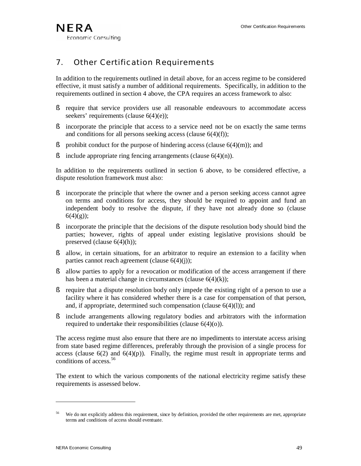# 7. Other Certification Requirements

In addition to the requirements outlined in detail above, for an access regime to be considered effective, it must satisfy a number of additional requirements. Specifically, in addition to the requirements outlined in section 4 above, the CPA requires an access framework to also:

- § require that service providers use all reasonable endeavours to accommodate access seekers' requirements (clause 6(4)(e));
- § incorporate the principle that access to a service need not be on exactly the same terms and conditions for all persons seeking access (clause  $6(4)(f)$ );
- § prohibit conduct for the purpose of hindering access (clause  $6(4)(m)$ ); and
- $\delta$  include appropriate ring fencing arrangements (clause 6(4)(n)).

In addition to the requirements outlined in section 6 above, to be considered effective, a dispute resolution framework must also:

- § incorporate the principle that where the owner and a person seeking access cannot agree on terms and conditions for access, they should be required to appoint and fund an independent body to resolve the dispute, if they have not already done so (clause  $6(4)(g)$ ;
- § incorporate the principle that the decisions of the dispute resolution body should bind the parties; however, rights of appeal under existing legislative provisions should be preserved (clause 6(4)(h));
- § allow, in certain situations, for an arbitrator to require an extension to a facility when parties cannot reach agreement (clause  $6(4)(i)$ );
- § allow parties to apply for a revocation or modification of the access arrangement if there has been a material change in circumstances (clause  $6(4)(k)$ );
- § require that a dispute resolution body only impede the existing right of a person to use a facility where it has considered whether there is a case for compensation of that person, and, if appropriate, determined such compensation (clause  $6(4)(1)$ ); and
- § include arrangements allowing regulatory bodies and arbitrators with the information required to undertake their responsibilities (clause 6(4)(o)).

The access regime must also ensure that there are no impediments to interstate access arising from state based regime differences, preferably through the provision of a single process for access (clause  $6(2)$  and  $6(4)(p)$ ). Finally, the regime must result in appropriate terms and conditions of access. 56

The extent to which the various components of the national electricity regime satisfy these requirements is assessed below.

We do not explicitly address this requirement, since by definition, provided the other requirements are met, appropriate terms and conditions of access should eventuate.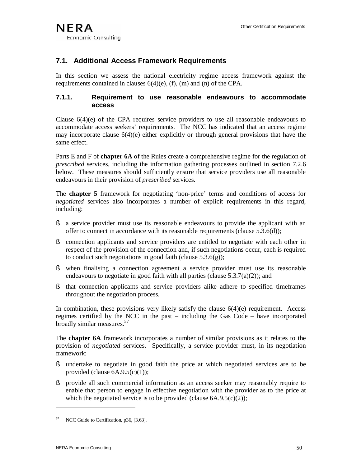# **7.1. Additional Access Framework Requirements**

In this section we assess the national electricity regime access framework against the requirements contained in clauses 6(4)(e), (f), (m) and (n) of the CPA.

### **7.1.1. Requirement to use reasonable endeavours to accommodate access**

Clause  $6(4)(e)$  of the CPA requires service providers to use all reasonable endeavours to accommodate access seekers' requirements. The NCC has indicated that an access regime may incorporate clause  $6(4)(e)$  either explicitly or through general provisions that have the same effect.

Parts E and F of **chapter 6A** of the Rules create a comprehensive regime for the regulation of *prescribed* services, including the information gathering processes outlined in section 7.2.6 below. These measures should sufficiently ensure that service providers use all reasonable endeavours in their provision of *prescribed* services.

The **chapter 5** framework for negotiating 'non-price' terms and conditions of access for *negotiated* services also incorporates a number of explicit requirements in this regard, including:

- § a service provider must use its reasonable endeavours to provide the applicant with an offer to connect in accordance with its reasonable requirements (clause 5.3.6(d));
- § connection applicants and service providers are entitled to negotiate with each other in respect of the provision of the connection and, if such negotiations occur, each is required to conduct such negotiations in good faith (clause  $5.3.6(g)$ );
- § when finalising a connection agreement a service provider must use its reasonable endeavours to negotiate in good faith with all parties (clause  $5.3.7(a)(2)$ ); and
- § that connection applicants and service providers alike adhere to specified timeframes throughout the negotiation process.

In combination, these provisions very likely satisfy the clause  $6(4)(e)$  requirement. Access regimes certified by the NCC in the past – including the Gas Code – have incorporated broadly similar measures.<sup>57</sup>

The **chapter 6A** framework incorporates a number of similar provisions as it relates to the provision of *negotiated* services. Specifically, a service provider must, in its negotiation framework:

- § undertake to negotiate in good faith the price at which negotiated services are to be provided (clause 6A.9.5(c)(1));
- § provide all such commercial information as an access seeker may reasonably require to enable that person to engage in effective negotiation with the provider as to the price at which the negotiated service is to be provided (clause  $6A.9.5(c)(2)$ );

NCC Guide to Certification, p36, [3.63].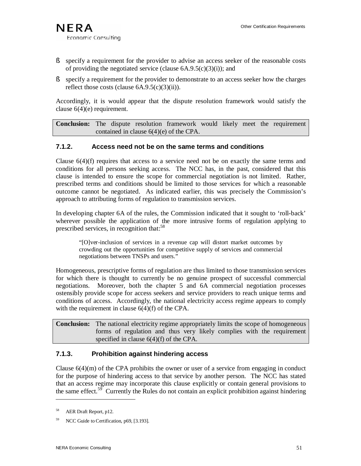- § specify a requirement for the provider to advise an access seeker of the reasonable costs of providing the negotiated service (clause  $6A.9.5(c)(3)(i)$ ); and
- § specify a requirement for the provider to demonstrate to an access seeker how the charges reflect those costs (clause  $6A.9.5(c)(3)(ii)$ ).

Accordingly, it is would appear that the dispute resolution framework would satisfy the clause  $6(4)(e)$  requirement.

**Conclusion:** The dispute resolution framework would likely meet the requirement contained in clause 6(4)(e) of the CPA.

### **7.1.2. Access need not be on the same terms and conditions**

Clause  $6(4)(f)$  requires that access to a service need not be on exactly the same terms and conditions for all persons seeking access. The NCC has, in the past, considered that this clause is intended to ensure the scope for commercial negotiation is not limited. Rather, prescribed terms and conditions should be limited to those services for which a reasonable outcome cannot be negotiated. As indicated earlier, this was precisely the Commission's approach to attributing forms of regulation to transmission services.

In developing chapter 6A of the rules, the Commission indicated that it sought to 'roll-back' wherever possible the application of the more intrusive forms of regulation applying to prescribed services, in recognition that:<sup>58</sup>

"[O]ver-inclusion of services in a revenue cap will distort market outcomes by crowding out the opportunities for competitive supply of services and commercial negotiations between TNSPs and users."

Homogeneous, prescriptive forms of regulation are thus limited to those transmission services for which there is thought to currently be no genuine prospect of successful commercial negotiations. Moreover, both the chapter 5 and 6A commercial negotiation processes ostensibly provide scope for access seekers and service providers to reach unique terms and conditions of access. Accordingly, the national electricity access regime appears to comply with the requirement in clause 6(4)(f) of the CPA.

**Conclusion:** The national electricity regime appropriately limits the scope of homogeneous forms of regulation and thus very likely complies with the requirement specified in clause 6(4)(f) of the CPA.

### **7.1.3. Prohibition against hindering access**

Clause  $6(4)(m)$  of the CPA prohibits the owner or user of a service from engaging in conduct for the purpose of hindering access to that service by another person. The NCC has stated that an access regime may incorporate this clause explicitly or contain general provisions to the same effect.<sup>59</sup> Currently the Rules do not contain an explicit prohibition against hindering

<sup>58</sup> AER Draft Report, p12.

<sup>&</sup>lt;sup>59</sup> NCC Guide to Certification, p69, [3.193].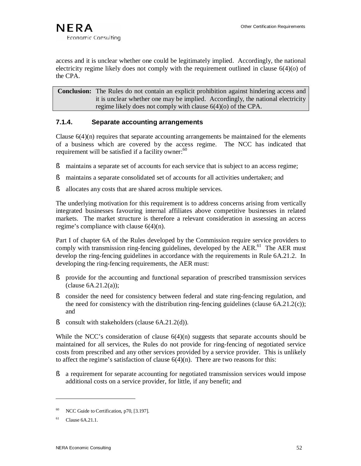access and it is unclear whether one could be legitimately implied. Accordingly, the national electricity regime likely does not comply with the requirement outlined in clause 6(4)(o) of the CPA.

**Conclusion:** The Rules do not contain an explicit prohibition against hindering access and it is unclear whether one may be implied. Accordingly, the national electricity regime likely does not comply with clause 6(4)(o) of the CPA.

#### **7.1.4. Separate accounting arrangements**

Clause  $6(4)(n)$  requires that separate accounting arrangements be maintained for the elements of a business which are covered by the access regime. The NCC has indicated that requirement will be satisfied if a facility owner:<sup>60</sup>

- § maintains a separate set of accounts for each service that is subject to an access regime;
- § maintains a separate consolidated set of accounts for all activities undertaken; and
- § allocates any costs that are shared across multiple services.

The underlying motivation for this requirement is to address concerns arising from vertically integrated businesses favouring internal affiliates above competitive businesses in related markets. The market structure is therefore a relevant consideration in assessing an access regime's compliance with clause 6(4)(n).

Part I of chapter 6A of the Rules developed by the Commission require service providers to comply with transmission ring-fencing guidelines, developed by the  $AER$ <sup> $61$ </sup>. The AER must develop the ring-fencing guidelines in accordance with the requirements in Rule 6A.21.2. In developing the ring-fencing requirements, the AER must:

- § provide for the accounting and functional separation of prescribed transmission services  $clause 6A.21.2(a);$
- § consider the need for consistency between federal and state ring-fencing regulation, and the need for consistency with the distribution ring-fencing guidelines (clause  $6A.21.2(c)$ ); and
- § consult with stakeholders (clause 6A.21.2(d)).

While the NCC's consideration of clause  $6(4)(n)$  suggests that separate accounts should be maintained for all services, the Rules do not provide for ring-fencing of negotiated service costs from prescribed and any other services provided by a service provider. This is unlikely to affect the regime's satisfaction of clause  $6(4)(n)$ . There are two reasons for this:

§ a requirement for separate accounting for negotiated transmission services would impose additional costs on a service provider, for little, if any benefit; and

<sup>&</sup>lt;sup>60</sup> NCC Guide to Certification, p70, [3.197].

 $61$  Clause 6A.21.1.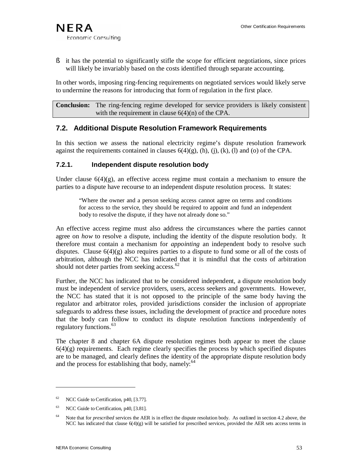§ it has the potential to significantly stifle the scope for efficient negotiations, since prices will likely be invariably based on the costs identified through separate accounting.

In other words, imposing ring-fencing requirements on negotiated services would likely serve to undermine the reasons for introducing that form of regulation in the first place.

**Conclusion:** The ring-fencing regime developed for service providers is likely consistent with the requirement in clause  $6(4)(n)$  of the CPA.

# **7.2. Additional Dispute Resolution Framework Requirements**

In this section we assess the national electricity regime's dispute resolution framework against the requirements contained in clauses  $6(4)(g)$ , (h), (j), (k), (l) and (o) of the CPA.

### **7.2.1. Independent dispute resolution body**

Under clause  $6(4)(g)$ , an effective access regime must contain a mechanism to ensure the parties to a dispute have recourse to an independent dispute resolution process. It states:

"Where the owner and a person seeking access cannot agree on terms and conditions for access to the service, they should be required to appoint and fund an independent body to resolve the dispute, if they have not already done so."

An effective access regime must also address the circumstances where the parties cannot agree on *how* to resolve a dispute, including the identity of the dispute resolution body. It therefore must contain a mechanism for *appointing* an independent body to resolve such disputes. Clause  $6(4)(g)$  also requires parties to a dispute to fund some or all of the costs of arbitration, although the NCC has indicated that it is mindful that the costs of arbitration should not deter parties from seeking access.<sup>62</sup>

Further, the NCC has indicated that to be considered independent, a dispute resolution body must be independent of service providers, users, access seekers and governments. However, the NCC has stated that it is not opposed to the principle of the same body having the regulator and arbitrator roles, provided jurisdictions consider the inclusion of appropriate safeguards to address these issues, including the development of practice and procedure notes that the body can follow to conduct its dispute resolution functions independently of regulatory functions. 63

The chapter 8 and chapter 6A dispute resolution regimes both appear to meet the clause  $6(4)(g)$  requirements. Each regime clearly specifies the process by which specified disputes are to be managed, and clearly defines the identity of the appropriate dispute resolution body and the process for establishing that body, namely: $64$ 

 $62$  NCC Guide to Certification, p40, [3.77].

<sup>&</sup>lt;sup>63</sup> NCC Guide to Certification, p40, [3.81].

<sup>&</sup>lt;sup>64</sup> Note that for *prescribed* services the AER is in effect the dispute resolution body. As outlined in section 4.2 above, the NCC has indicated that clause  $6(4)(g)$  will be satisfied for prescribed services, provided the AER sets access terms in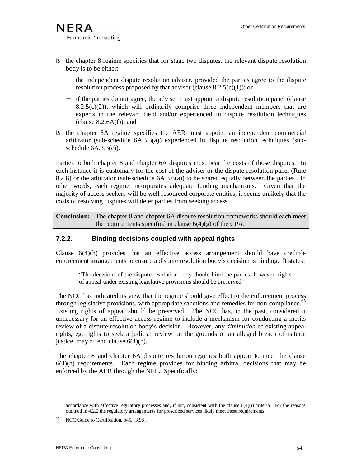- § the chapter 8 regime specifies that for stage two disputes, the relevant dispute resolution body is to be either:
	- − the independent dispute resolution adviser, provided the parties agree to the dispute resolution process proposed by that adviser (clause  $8.2.5(c)(1)$ ); or
	- − if the parties do not agree, the adviser must appoint a dispute resolution panel (clause  $8.2.5(c)(2)$ , which will ordinarily comprise three independent members that are experts in the relevant field and/or experienced in dispute resolution techniques (clause  $8.2.6A(f)$ ); and
- § the chapter 6A regime specifies the AER must appoint an independent commercial arbitrator (sub-schedule  $6A.3.3(a)$ ) experienced in dispute resolution techniques (subschedule  $6A.3.3(c)$ ).

Parties to both chapter 8 and chapter 6A disputes must bear the costs of those disputes. In each instance it is customary for the cost of the adviser or the dispute resolution panel (Rule 8.2.8) or the arbitrator (sub-schedule 6A.3.6(a)) to be shared equally between the parties. In other words, each regime incorporates adequate funding mechanisms. Given that the majority of access seekers will be well resourced corporate entities, it seems unlikely that the costs of resolving disputes will deter parties from seeking access.

**Conclusion:** The chapter 8 and chapter 6A dispute resolution frameworks should each meet the requirements specified in clause  $6(4)(g)$  of the CPA.

### **7.2.2. Binding decisions coupled with appeal rights**

Clause  $6(4)(h)$  provides that an effective access arrangement should have credible enforcement arrangements to ensure a dispute resolution body's decision is binding. It states:

"The decisions of the dispute resolution body should bind the parties; however, rights of appeal under existing legislative provisions should be preserved."

The NCC has indicated its view that the regime should give effect to the enforcement process through legislative provisions, with appropriate sanctions and remedies for non-compliance.<sup>65</sup> Existing rights of appeal should be preserved. The NCC has, in the past, considered it unnecessary for an effective access regime to include a mechanism for conducting a merits review of a dispute resolution body's decision. However, any *diminution* of existing appeal rights, eg, rights to seek a judicial review on the grounds of an alleged breach of natural justice, may offend clause 6(4)(h).

The chapter 8 and chapter 6A dispute resolution regimes both appear to meet the clause 6(4)(h) requirements. Each regime provides for binding arbitral decisions that may be enforced by the AER through the NEL. Specifically:

NCC Guide to Certification, p45, [3.98].

accordance with effective regulatory processes and, if not, consistent with the clause  $6(4)(i)$  criteria. For the reasons outlined in 4.2.2 the regulatory arrangements for prescribed services likely meet these requirements.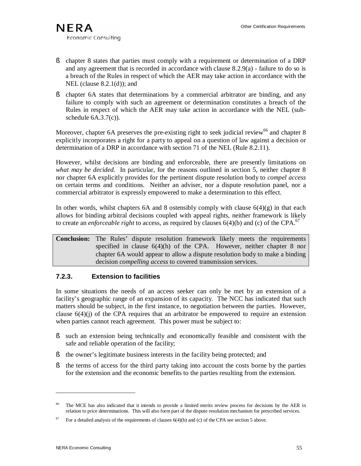- § chapter 8 states that parties must comply with a requirement or determination of a DRP and any agreement that is recorded in accordance with clause 8.2.9(a) - failure to do so is a breach of the Rules in respect of which the AER may take action in accordance with the NEL (clause  $8.2.1(d)$ ); and
- § chapter 6A states that determinations by a commercial arbitrator are binding, and any failure to comply with such an agreement or determination constitutes a breach of the Rules in respect of which the AER may take action in accordance with the NEL (subschedule 6A.3.7(c)).

Moreover, chapter 6A preserves the pre-existing right to seek judicial review<sup>66</sup> and chapter 8 explicitly incorporates a right for a party to appeal on a question of law against a decision or determination of a DRP in accordance with section 71 of the NEL (Rule 8.2.11).

However, whilst decisions are binding and enforceable, there are presently limitations on *what may be decided.* In particular, for the reasons outlined in section 5, neither chapter 8 nor chapter 6A explicitly provides for the pertinent dispute resolution body to *compel access* on certain terms and conditions. Neither an adviser, nor a dispute resolution panel, nor a commercial arbitrator is expressly empowered to make a determination to this effect.

In other words, whilst chapters 6A and 8 ostensibly comply with clause  $6(4)(g)$  in that each allows for binding arbitral decisions coupled with appeal rights, neither framework is likely to create an *enforceable* right to access, as required by clauses  $6(4)(b)$  and (c) of the CPA.<sup>67</sup>

**Conclusion:** The Rules' dispute resolution framework likely meets the requirements specified in clause  $6(4)(h)$  of the CPA. However, neither chapter 8 nor chapter 6A would appear to allow a dispute resolution body to make a binding decision *compelling access* to covered transmission services.

### **7.2.3. Extension to facilities**

In some situations the needs of an access seeker can only be met by an extension of a facility's geographic range of an expansion of its capacity. The NCC has indicated that such matters should be subject, in the first instance, to negotiation between the parties. However, clause  $6(4)(i)$  of the CPA requires that an arbitrator be empowered to require an extension when parties cannot reach agreement. This power must be subject to:

- § such an extension being technically and economically feasible and consistent with the safe and reliable operation of the facility;
- § the owner's legitimate business interests in the facility being protected; and
- § the terms of access for the third party taking into account the costs borne by the parties for the extension and the economic benefits to the parties resulting from the extension.

<sup>66</sup> The MCE has also indicated that it intends to provide a limited merits review process for decisions by the AER in relation to price determinations. This will also form part of the dispute resolution mechanism for prescribed services.

For a detailed analysis of the requirements of clauses 6(4)(b) and (c) of the CPA see section 5 above.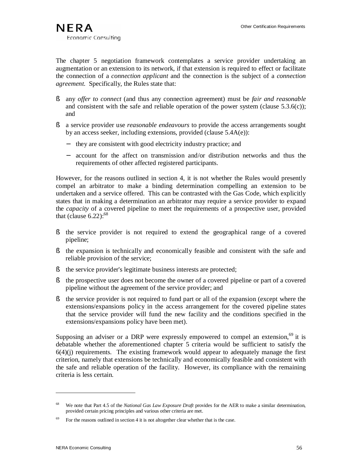The chapter 5 negotiation framework contemplates a service provider undertaking an augmentation or an extension to its network, if that extension is required to effect or facilitate the connection of a *connection applicant* and the connection is the subject of a *connection agreement.* Specifically, the Rules state that:

- § any *offer to connect* (and thus any connection agreement) must be *fair and reasonable* and consistent with the safe and reliable operation of the power system (clause  $5.3.6(c)$ ); and
- § a service provider use *reasonable endeavours* to provide the access arrangements sought by an access seeker, including extensions, provided (clause 5.4A(e)):
	- they are consistent with good electricity industry practice; and
	- − account for the affect on transmission and/or distribution networks and thus the requirements of other affected registered participants.

However, for the reasons outlined in section 4, it is not whether the Rules would presently compel an arbitrator to make a binding determination compelling an extension to be undertaken and a service offered. This can be contrasted with the Gas Code, which explicitly states that in making a determination an arbitrator may require a service provider to expand the *capacity* of a covered pipeline to meet the requirements of a prospective user, provided that (clause  $6.22$ ):<sup>68</sup>

- § the service provider is not required to extend the geographical range of a covered pipeline;
- § the expansion is technically and economically feasible and consistent with the safe and reliable provision of the service;
- § the service provider's legitimate business interests are protected;
- § the prospective user does not become the owner of a covered pipeline or part of a covered pipeline without the agreement of the service provider; and
- § the service provider is not required to fund part or all of the expansion (except where the extensions/expansions policy in the access arrangement for the covered pipeline states that the service provider will fund the new facility and the conditions specified in the extensions/expansions policy have been met).

Supposing an adviser or a DRP were expressly empowered to compel an extension,  $69$  it is debatable whether the aforementioned chapter 5 criteria would be sufficient to satisfy the  $6(4)(i)$  requirements. The existing framework would appear to adequately manage the first criterion, namely that extensions be technically and economically feasible and consistent with the safe and reliable operation of the facility. However, its compliance with the remaining criteria is less certain.

<sup>68</sup> We note that Part 4.5 of the *National Gas Law Exposure Draft* provides for the AER to make a similar determination, provided certain pricing principles and various other criteria are met.

 $69$  For the reasons outlined in section 4 it is not altogether clear whether that is the case.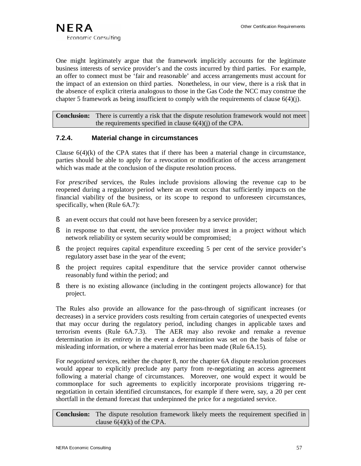One might legitimately argue that the framework implicitly accounts for the legitimate business interests of service provider's and the costs incurred by third parties. For example, an offer to connect must be 'fair and reasonable' and access arrangements must account for the impact of an extension on third parties. Nonetheless, in our view, there is a risk that in the absence of explicit criteria analogous to those in the Gas Code the NCC may construe the chapter 5 framework as being insufficient to comply with the requirements of clause  $6(4)(i)$ .

**Conclusion:** There is currently a risk that the dispute resolution framework would not meet the requirements specified in clause  $6(4)(j)$  of the CPA.

#### **7.2.4. Material change in circumstances**

Clause  $6(4)$ (k) of the CPA states that if there has been a material change in circumstance, parties should be able to apply for a revocation or modification of the access arrangement which was made at the conclusion of the dispute resolution process.

For *prescribed* services, the Rules include provisions allowing the revenue cap to be reopened during a regulatory period where an event occurs that sufficiently impacts on the financial viability of the business, or its scope to respond to unforeseen circumstances, specifically, when (Rule 6A.7):

- § an event occurs that could not have been foreseen by a service provider;
- § in response to that event, the service provider must invest in a project without which network reliability or system security would be compromised;
- § the project requires capital expenditure exceeding 5 per cent of the service provider's regulatory asset base in the year of the event;
- § the project requires capital expenditure that the service provider cannot otherwise reasonably fund within the period; and
- § there is no existing allowance (including in the contingent projects allowance) for that project.

The Rules also provide an allowance for the pass-through of significant increases (or decreases) in a service providers costs resulting from certain categories of unexpected events that may occur during the regulatory period, including changes in applicable taxes and terrorism events (Rule 6A.7.3). The AER may also revoke and remake a revenue determination *in its entirety* in the event a determination was set on the basis of false or misleading information, or where a material error has been made (Rule 6A.15).

For *negotiated* services, neither the chapter 8, nor the chapter 6A dispute resolution processes would appear to explicitly preclude any party from re-negotiating an access agreement following a material change of circumstances. Moreover, one would expect it would be commonplace for such agreements to explicitly incorporate provisions triggering renegotiation in certain identified circumstances, for example if there were, say, a 20 per cent shortfall in the demand forecast that underpinned the price for a negotiated service.

**Conclusion:** The dispute resolution framework likely meets the requirement specified in clause  $6(4)(k)$  of the CPA.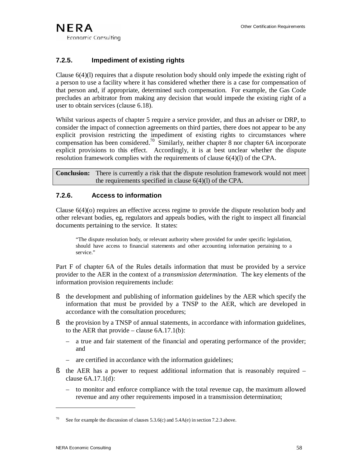### **7.2.5. Impediment of existing rights**

Clause 6(4)(l) requires that a dispute resolution body should only impede the existing right of a person to use a facility where it has considered whether there is a case for compensation of that person and, if appropriate, determined such compensation. For example, the Gas Code precludes an arbitrator from making any decision that would impede the existing right of a user to obtain services (clause 6.18).

Whilst various aspects of chapter 5 require a service provider, and thus an adviser or DRP, to consider the impact of connection agreements on third parties, there does not appear to be any explicit provision restricting the impediment of existing rights to circumstances where compensation has been considered.<sup>70</sup> Similarly, neither chapter 8 nor chapter 6A incorporate explicit provisions to this effect. Accordingly, it is at best unclear whether the dispute resolution framework complies with the requirements of clause 6(4)(l) of the CPA.

**Conclusion:** There is currently a risk that the dispute resolution framework would not meet the requirements specified in clause 6(4)(l) of the CPA.

### **7.2.6. Access to information**

Clause 6(4)(o) requires an effective access regime to provide the dispute resolution body and other relevant bodies, eg, regulators and appeals bodies, with the right to inspect all financial documents pertaining to the service. It states:

"The dispute resolution body, or relevant authority where provided for under specific legislation, should have access to financial statements and other accounting information pertaining to a service."

Part F of chapter 6A of the Rules details information that must be provided by a service provider to the AER in the context of a *transmission determination*. The key elements of the information provision requirements include:

- § the development and publishing of information guidelines by the AER which specify the information that must be provided by a TNSP to the AER, which are developed in accordance with the consultation procedures;
- § the provision by a TNSP of annual statements, in accordance with information guidelines, to the AER that provide – clause  $6A.17.1(b)$ :
	- a true and fair statement of the financial and operating performance of the provider; and
	- are certified in accordance with the information guidelines;
- § the AER has a power to request additional information that is reasonably required clause 6A.17.1(d):
	- to monitor and enforce compliance with the total revenue cap, the maximum allowed revenue and any other requirements imposed in a transmission determination;

See for example the discussion of clauses  $5.3.6(c)$  and  $5.4A(e)$  in section 7.2.3 above.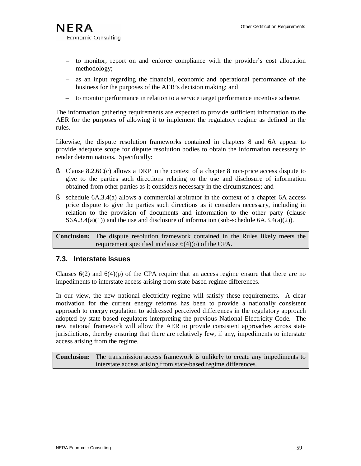- to monitor, report on and enforce compliance with the provider's cost allocation methodology;
- as an input regarding the financial, economic and operational performance of the business for the purposes of the AER's decision making; and
- to monitor performance in relation to a service target performance incentive scheme.

The information gathering requirements are expected to provide sufficient information to the AER for the purposes of allowing it to implement the regulatory regime as defined in the rules.

Likewise, the dispute resolution frameworks contained in chapters 8 and 6A appear to provide adequate scope for dispute resolution bodies to obtain the information necessary to render determinations. Specifically:

- § Clause 8.2.6C(c) allows a DRP in the context of a chapter 8 non-price access dispute to give to the parties such directions relating to the use and disclosure of information obtained from other parties as it considers necessary in the circumstances; and
- § schedule 6A.3.4(a) allows a commercial arbitrator in the context of a chapter 6A access price dispute to give the parties such directions as it considers necessary, including in relation to the provision of documents and information to the other party (clause  $S6A.3.4(a)(1)$  and the use and disclosure of information (sub-schedule 6A.3.4(a)(2)).

**Conclusion:** The dispute resolution framework contained in the Rules likely meets the requirement specified in clause 6(4)(o) of the CPA.

# **7.3. Interstate Issues**

Clauses  $6(2)$  and  $6(4)(p)$  of the CPA require that an access regime ensure that there are no impediments to interstate access arising from state based regime differences.

In our view, the new national electricity regime will satisfy these requirements. A clear motivation for the current energy reforms has been to provide a nationally consistent approach to energy regulation to addressed perceived differences in the regulatory approach adopted by state based regulators interpreting the previous National Electricity Code. The new national framework will allow the AER to provide consistent approaches across state jurisdictions, thereby ensuring that there are relatively few, if any, impediments to interstate access arising from the regime.

**Conclusion:** The transmission access framework is unlikely to create any impediments to interstate access arising from state-based regime differences.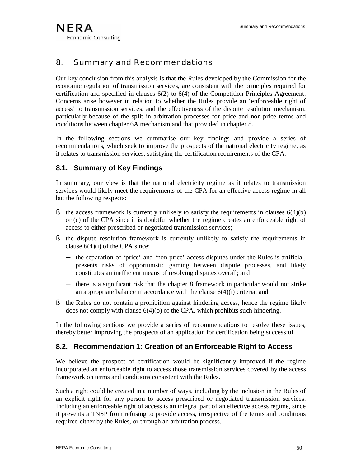# 8. Summary and Recommendations

Our key conclusion from this analysis is that the Rules developed by the Commission for the economic regulation of transmission services, are consistent with the principles required for certification and specified in clauses 6(2) to 6(4) of the Competition Principles Agreement. Concerns arise however in relation to whether the Rules provide an 'enforceable right of access' to transmission services, and the effectiveness of the dispute resolution mechanism, particularly because of the split in arbitration processes for price and non-price terms and conditions between chapter 6A mechanism and that provided in chapter 8.

In the following sections we summarise our key findings and provide a series of recommendations, which seek to improve the prospects of the national electricity regime, as it relates to transmission services, satisfying the certification requirements of the CPA.

# **8.1. Summary of Key Findings**

In summary, our view is that the national electricity regime as it relates to transmission services would likely meet the requirements of the CPA for an effective access regime in all but the following respects:

- $\S$  the access framework is currently unlikely to satisfy the requirements in clauses  $6(4)(b)$ or (c) of the CPA since it is doubtful whether the regime creates an enforceable right of access to either prescribed or negotiated transmission services;
- § the dispute resolution framework is currently unlikely to satisfy the requirements in clause  $6(4)(i)$  of the CPA since:
	- − the separation of 'price' and 'non-price' access disputes under the Rules is artificial, presents risks of opportunistic gaming between dispute processes, and likely constitutes an inefficient means of resolving disputes overall; and
	- − there is a significant risk that the chapter 8 framework in particular would not strike an appropriate balance in accordance with the clause  $6(4)(i)$  criteria; and
- § the Rules do not contain a prohibition against hindering access, hence the regime likely does not comply with clause 6(4)(o) of the CPA, which prohibits such hindering.

In the following sections we provide a series of recommendations to resolve these issues, thereby better improving the prospects of an application for certification being successful.

# **8.2. Recommendation 1: Creation of an Enforceable Right to Access**

We believe the prospect of certification would be significantly improved if the regime incorporated an enforceable right to access those transmission services covered by the access framework on terms and conditions consistent with the Rules.

Such a right could be created in a number of ways, including by the inclusion in the Rules of an explicit right for any person to access prescribed or negotiated transmission services. Including an enforceable right of access is an integral part of an effective access regime, since it prevents a TNSP from refusing to provide access, irrespective of the terms and conditions required either by the Rules, or through an arbitration process.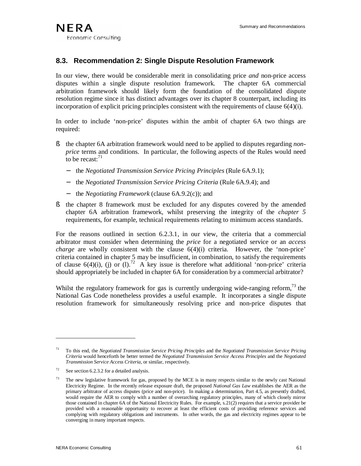# **8.3. Recommendation 2: Single Dispute Resolution Framework**

In our view, there would be considerable merit in consolidating price *and* non-price access disputes within a single dispute resolution framework. The chapter 6A commercial arbitration framework should likely form the foundation of the consolidated dispute resolution regime since it has distinct advantages over its chapter 8 counterpart, including its incorporation of explicit pricing principles consistent with the requirements of clause 6(4)(i).

In order to include 'non-price' disputes within the ambit of chapter 6A two things are required:

- § the chapter 6A arbitration framework would need to be applied to disputes regarding *nonprice* terms and conditions. In particular, the following aspects of the Rules would need to be recast: $^{71}$ 
	- − the *Negotiated Transmission Service Pricing Principles* (Rule 6A.9.1);
	- − the *Negotiated Transmission Service Pricing Criteria* (Rule 6A.9.4); and
	- − the *Negotiating Framework* (clause 6A.9.2(c)); and
- § the chapter 8 framework must be excluded for any disputes covered by the amended chapter 6A arbitration framework, whilst preserving the integrity of the *chapter 5* requirements, for example, technical requirements relating to minimum access standards.

For the reasons outlined in section 6.2.3.1, in our view, the criteria that a commercial arbitrator must consider when determining the *price* for a negotiated service or an *access charge* are wholly consistent with the clause  $6(4)(i)$  criteria. However, the 'non-price' criteria contained in chapter 5 may be insufficient, in combination, to satisfy the requirements of clause 6(4)(i), (j) or (l).<sup>72</sup> A key issue is therefore what additional 'non-price' criteria should appropriately be included in chapter 6A for consideration by a commercial arbitrator?

Whilst the regulatory framework for gas is currently undergoing wide-ranging reform, $^{73}$  the National Gas Code nonetheless provides a useful example. It incorporates a single dispute resolution framework for simultaneously resolving price and non-price disputes that

<sup>71</sup> To this end, the *Negotiated Transmission Service Pricing Principles* and the *Negotiated Transmission Service Pricing Criteria* would henceforth be better termed the *Negotiated Transmission Service Access Principles* and the *Negotiated Transmission Service Access Criteria*, or similar, respectively.

 $72$  See section 6.2.3.2 for a detailed analysis.

<sup>&</sup>lt;sup>73</sup> The new legislative framework for gas, proposed by the MCE is in many respects similar to the newly cast National Electricity Regime. In the recently release exposure draft, the proposed *National Gas Law* establishes the AER as the primary arbitrator of access disputes (price and non-price). In making a determination, Part 4.5, as presently drafted, would require the AER to comply with a number of overarching regulatory principles, many of which closely mirror those contained in chapter 6A of the National Electricity Rules. For example, s.21(2) requires that a service provider be provided with a reasonable opportunity to recover at least the efficient costs of providing reference services and complying with regulatory obligations and instruments. In other words, the gas and electricity regimes appear to be converging in many important respects.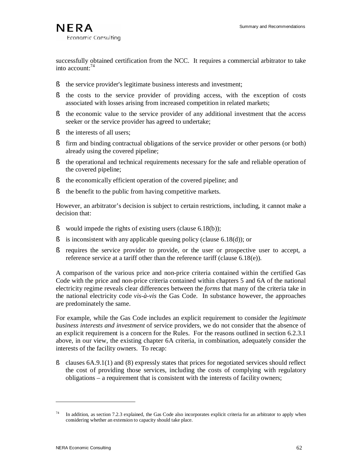successfully obtained certification from the NCC. It requires a commercial arbitrator to take into account:<sup>74</sup>

- § the service provider's legitimate business interests and investment;
- § the costs to the service provider of providing access, with the exception of costs associated with losses arising from increased competition in related markets;
- § the economic value to the service provider of any additional investment that the access seeker or the service provider has agreed to undertake;
- § the interests of all users;
- § firm and binding contractual obligations of the service provider or other persons (or both) already using the covered pipeline;
- § the operational and technical requirements necessary for the safe and reliable operation of the covered pipeline;
- § the economically efficient operation of the covered pipeline; and
- § the benefit to the public from having competitive markets.

However, an arbitrator's decision is subject to certain restrictions, including, it cannot make a decision that:

- § would impede the rights of existing users (clause 6.18(b));
- § is inconsistent with any applicable queuing policy (clause 6.18(d)); or
- § requires the service provider to provide, or the user or prospective user to accept, a reference service at a tariff other than the reference tariff (clause 6.18(e)).

A comparison of the various price and non-price criteria contained within the certified Gas Code with the price and non-price criteria contained within chapters 5 and 6A of the national electricity regime reveals clear differences between the *forms* that many of the criteria take in the national electricity code *vis-à-vis* the Gas Code. In substance however, the approaches are predominately the same.

For example, while the Gas Code includes an explicit requirement to consider the *legitimate business interests and investment* of service providers, we do not consider that the absence of an explicit requirement is a concern for the Rules. For the reasons outlined in section 6.2.3.1 above, in our view, the existing chapter 6A criteria, in combination, adequately consider the interests of the facility owners. To recap:

§ clauses 6A.9.1(1) and (8) expressly states that prices for negotiated services should reflect the cost of providing those services, including the costs of complying with regulatory obligations – a requirement that is consistent with the interests of facility owners;

In addition, as section 7.2.3 explained, the Gas Code also incorporates explicit criteria for an arbitrator to apply when considering whether an extension to capacity should take place.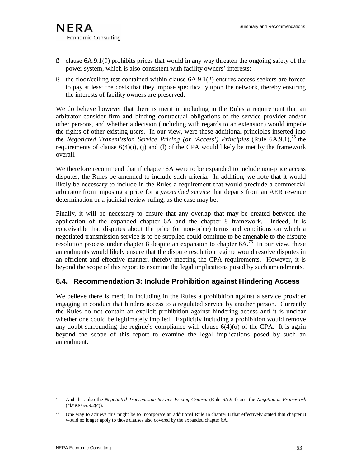- § clause 6A.9.1(9) prohibits prices that would in any way threaten the ongoing safety of the power system, which is also consistent with facility owners' interests;
- § the floor/ceiling test contained within clause 6A.9.1(2) ensures access seekers are forced to pay at least the costs that they impose specifically upon the network, thereby ensuring the interests of facility owners are preserved.

We do believe however that there is merit in including in the Rules a requirement that an arbitrator consider firm and binding contractual obligations of the service provider and/or other persons, and whether a decision (including with regards to an extension) would impede the rights of other existing users. In our view, were these additional principles inserted into the *Negotiated Transmission Service Pricing (or 'Access') Principles (Rule 6A.9.1),*<sup>75</sup> the requirements of clause  $6(4)(i)$ , (i) and (l) of the CPA would likely be met by the framework overall.

We therefore recommend that if chapter 6A were to be expanded to include non-price access disputes, the Rules be amended to include such criteria. In addition, we note that it would likely be necessary to include in the Rules a requirement that would preclude a commercial arbitrator from imposing a price for a *prescribed service* that departs from an AER revenue determination or a judicial review ruling, as the case may be.

Finally, it will be necessary to ensure that any overlap that may be created between the application of the expanded chapter 6A and the chapter 8 framework. Indeed, it is conceivable that disputes about the price (or non-price) terms and conditions on which a negotiated transmission service is to be supplied could continue to be amenable to the dispute resolution process under chapter 8 despite an expansion to chapter 6A.<sup>76</sup> In our view, these amendments would likely ensure that the dispute resolution regime would resolve disputes in an efficient and effective manner, thereby meeting the CPA requirements. However, it is beyond the scope of this report to examine the legal implications posed by such amendments.

# **8.4. Recommendation 3: Include Prohibition against Hindering Access**

We believe there is merit in including in the Rules a prohibition against a service provider engaging in conduct that hinders access to a regulated service by another person. Currently the Rules do not contain an explicit prohibition against hindering access and it is unclear whether one could be legitimately implied. Explicitly including a prohibition would remove any doubt surrounding the regime's compliance with clause  $6(4)(o)$  of the CPA. It is again beyond the scope of this report to examine the legal implications posed by such an amendment.

<sup>75</sup> And thus also the *Negotiated Transmission Service Pricing Criteria* (Rule 6A.9.4) and the *Negotiation Framework* (clause 6A.9.2(c)).

<sup>&</sup>lt;sup>76</sup> One way to achieve this might be to incorporate an additional Rule in chapter 8 that effectively stated that chapter 8 would no longer apply to those clauses also covered by the expanded chapter 6A.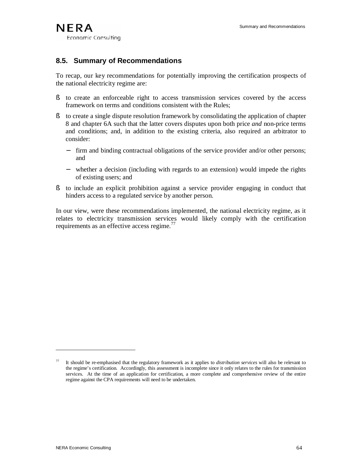# **8.5. Summary of Recommendations**

To recap, our key recommendations for potentially improving the certification prospects of the national electricity regime are:

- § to create an enforceable right to access transmission services covered by the access framework on terms and conditions consistent with the Rules;
- § to create a single dispute resolution framework by consolidating the application of chapter 8 and chapter 6A such that the latter covers disputes upon both price *and* non-price terms and conditions; and, in addition to the existing criteria, also required an arbitrator to consider:
	- − firm and binding contractual obligations of the service provider and/or other persons; and
	- − whether a decision (including with regards to an extension) would impede the rights of existing users; and
- § to include an explicit prohibition against a service provider engaging in conduct that hinders access to a regulated service by another person.

In our view, were these recommendations implemented, the national electricity regime, as it relates to electricity transmission services would likely comply with the certification requirements as an effective access regime.<sup>77</sup>

<sup>77</sup> It should be re-emphasised that the regulatory framework as it applies to *distribution services* will also be relevant to the regime's certification. Accordingly, this assessment is incomplete since it only relates to the rules for transmission services. At the time of an application for certification, a more complete and comprehensive review of the entire regime against the CPA requirements will need to be undertaken.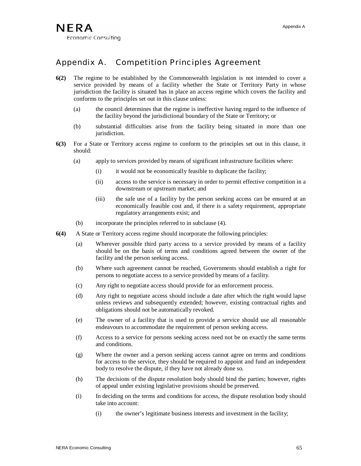# Appendix A. Competition Principles Agreement

- **6(2)** The regime to be established by the Commonwealth legislation is not intended to cover a service provided by means of a facility whether the State or Territory Party in whose jurisdiction the facility is situated has in place an access regime which covers the facility and conforms to the principles set out in this clause unless:
	- (a) the council determines that the regime is ineffective having regard to the influence of the facility beyond the jurisdictional boundary of the State or Territory; or
	- (b) substantial difficulties arise from the facility being situated in more than one jurisdiction.
- **6(3)** For a State or Territory access regime to conform to the principles set out in this clause, it should:
	- (a) apply to services provided by means of significant infrastructure facilities where:
		- (i) it would not be economically feasible to duplicate the facility;
		- (ii) access to the service is necessary in order to permit effective competition in a downstream or upstream market; and
		- (iii) the safe use of a facility by the person seeking access can be ensured at an economically feasible cost and, if there is a safety requirement, appropriate regulatory arrangements exist; and
	- (b) incorporate the principles referred to in subclause (4).
- **6(4)** A State or Territory access regime should incorporate the following principles:
	- (a) Wherever possible third party access to a service provided by means of a facility should be on the basis of terms and conditions agreed between the owner of the facility and the person seeking access.
	- (b) Where such agreement cannot be reached, Governments should establish a right for persons to negotiate access to a service provided by means of a facility.
	- (c) Any right to negotiate access should provide for an enforcement process.
	- (d) Any right to negotiate access should include a date after which the right would lapse unless reviews and subsequently extended; however, existing contractual rights and obligations should not be automatically revoked.
	- (e) The owner of a facility that is used to provide a service should use all reasonable endeavours to accommodate the requirement of person seeking access.
	- (f) Access to a service for persons seeking access need not be on exactly the same terms and conditions.
	- (g) Where the owner and a person seeking access cannot agree on terms and conditions for access to the service, they should be required to appoint and fund an independent body to resolve the dispute, if they have not already done so.
	- (h) The decisions of the dispute resolution body should bind the parties; however, rights of appeal under existing legislative provisions should be preserved.
	- (i) In deciding on the terms and conditions for access, the dispute resolution body should take into account:
		- (i) the owner's legitimate business interests and investment in the facility;